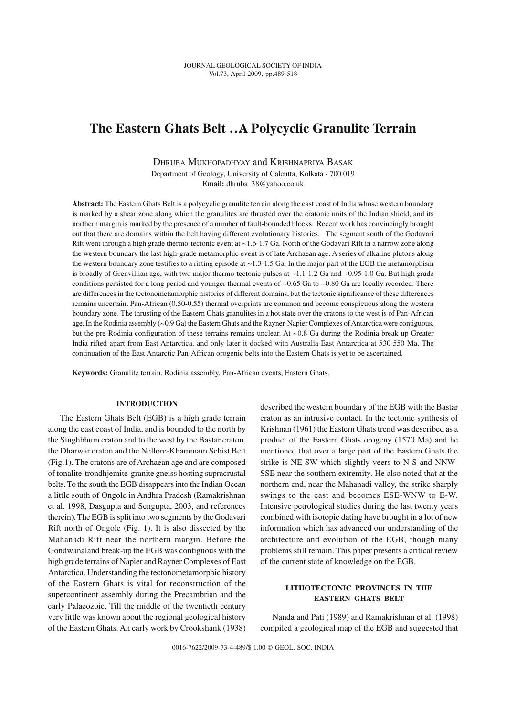# **The Eastern Ghats Belt – A Polycyclic Granulite Terrain**

DHRUBA MUKHOPADHYAY and KRISHNAPRIYA BASAK

Department of Geology, University of Calcutta, Kolkata - 700 019 **Email:** dhruba\_38@yahoo.co.uk

**Abstract:** The Eastern Ghats Belt is a polycyclic granulite terrain along the east coast of India whose western boundary is marked by a shear zone along which the granulites are thrusted over the cratonic units of the Indian shield, and its northern margin is marked by the presence of a number of fault-bounded blocks. Recent work has convincingly brought out that there are domains within the belt having different evolutionary histories. The segment south of the Godavari Rift went through a high grade thermo-tectonic event at  $\sim$ 1.6-1.7 Ga. North of the Godavari Rift in a narrow zone along the western boundary the last high-grade metamorphic event is of late Archaean age. A series of alkaline plutons along the western boundary zone testifies to a rifting episode at  $\sim$  1.3-1.5 Ga. In the major part of the EGB the metamorphism is broadly of Grenvillian age, with two major thermo-tectonic pulses at  $\sim$  1.1-1.2 Ga and  $\sim$  0.95-1.0 Ga. But high grade conditions persisted for a long period and younger thermal events of ~0.65 Ga to ~0.80 Ga are locally recorded. There are differences in the tectonometamorphic histories of different domains, but the tectonic significance of these differences remains uncertain. Pan-African (0.50-0.55) thermal overprints are common and become conspicuous along the western boundary zone. The thrusting of the Eastern Ghats granulites in a hot state over the cratons to the west is of Pan-African age. In the Rodinia assembly (~0.9 Ga) the Eastern Ghats and the Rayner-Napier Complexes of Antarctica were contiguous, but the pre-Rodinia configuration of these terrains remains unclear. At ~0.8 Ga during the Rodinia break up Greater India rifted apart from East Antarctica, and only later it docked with Australia-East Antarctica at 530-550 Ma. The continuation of the East Antarctic Pan-African orogenic belts into the Eastern Ghats is yet to be ascertained.

**Keywords:** Granulite terrain, Rodinia assembly, Pan-African events, Eastern Ghats.

# **INTRODUCTION**

The Eastern Ghats Belt (EGB) is a high grade terrain along the east coast of India, and is bounded to the north by the Singhbhum craton and to the west by the Bastar craton, the Dharwar craton and the Nellore-Khammam Schist Belt (Fig.1). The cratons are of Archaean age and are composed of tonalite-trondhjemite-granite gneiss hosting supracrustal belts. To the south the EGB disappears into the Indian Ocean a little south of Ongole in Andhra Pradesh (Ramakrishnan et al. 1998, Dasgupta and Sengupta, 2003, and references therein). The EGB is split into two segments by the Godavari Rift north of Ongole (Fig. 1). It is also dissected by the Mahanadi Rift near the northern margin. Before the Gondwanaland break-up the EGB was contiguous with the high grade terrains of Napier and Rayner Complexes of East Antarctica. Understanding the tectonometamorphic history of the Eastern Ghats is vital for reconstruction of the supercontinent assembly during the Precambrian and the early Palaeozoic. Till the middle of the twentieth century very little was known about the regional geological history of the Eastern Ghats. An early work by Crookshank (1938) described the western boundary of the EGB with the Bastar craton as an intrusive contact. In the tectonic synthesis of Krishnan (1961) the Eastern Ghats trend was described as a product of the Eastern Ghats orogeny (1570 Ma) and he mentioned that over a large part of the Eastern Ghats the strike is NE-SW which slightly veers to N-S and NNW-SSE near the southern extremity. He also noted that at the northern end, near the Mahanadi valley, the strike sharply swings to the east and becomes ESE-WNW to E-W. Intensive petrological studies during the last twenty years combined with isotopic dating have brought in a lot of new information which has advanced our understanding of the architecture and evolution of the EGB, though many problems still remain. This paper presents a critical review of the current state of knowledge on the EGB.

# **LITHOTECTONIC PROVINCES IN THE EASTERN GHATS BELT**

Nanda and Pati (1989) and Ramakrishnan et al. (1998) compiled a geological map of the EGB and suggested that

0016-7622/2009-73-4-489/\$ 1.00 © GEOL. SOC. INDIA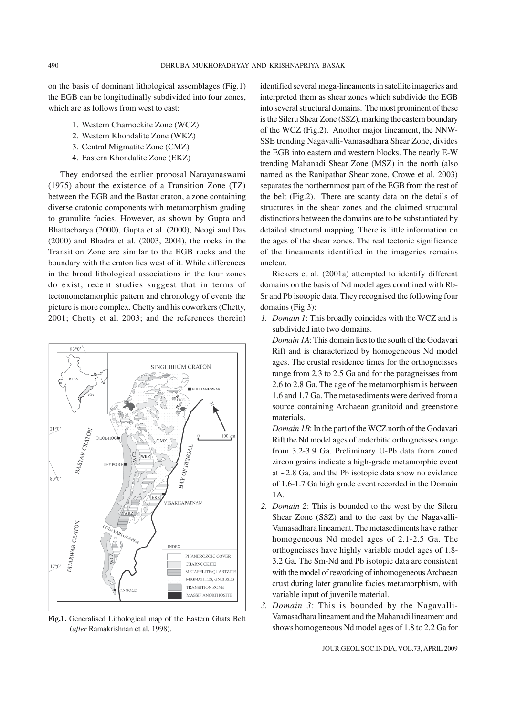on the basis of dominant lithological assemblages (Fig.1) the EGB can be longitudinally subdivided into four zones, which are as follows from west to east:

- 1. Western Charnockite Zone (WCZ)
- 2. Western Khondalite Zone (WKZ)
- 3. Central Migmatite Zone (CMZ)
- 4. Eastern Khondalite Zone (EKZ)

They endorsed the earlier proposal Narayanaswami (1975) about the existence of a Transition Zone (TZ) between the EGB and the Bastar craton, a zone containing diverse cratonic components with metamorphism grading to granulite facies. However, as shown by Gupta and Bhattacharya (2000), Gupta et al. (2000), Neogi and Das (2000) and Bhadra et al. (2003, 2004), the rocks in the Transition Zone are similar to the EGB rocks and the boundary with the craton lies west of it. While differences in the broad lithological associations in the four zones do exist, recent studies suggest that in terms of tectonometamorphic pattern and chronology of events the picture is more complex. Chetty and his coworkers (Chetty, 2001; Chetty et al. 2003; and the references therein)



**Fig.1.** Generalised Lithological map of the Eastern Ghats Belt (*after* Ramakrishnan et al. 1998).

identified several mega-lineaments in satellite imageries and interpreted them as shear zones which subdivide the EGB into several structural domains. The most prominent of these is the Sileru Shear Zone (SSZ), marking the eastern boundary of the WCZ (Fig.2). Another major lineament, the NNW-SSE trending Nagavalli-Vamasadhara Shear Zone, divides the EGB into eastern and western blocks. The nearly E-W trending Mahanadi Shear Zone (MSZ) in the north (also named as the Ranipathar Shear zone, Crowe et al. 2003) separates the northernmost part of the EGB from the rest of the belt (Fig.2). There are scanty data on the details of structures in the shear zones and the claimed structural distinctions between the domains are to be substantiated by detailed structural mapping. There is little information on the ages of the shear zones. The real tectonic significance of the lineaments identified in the imageries remains unclear.

Rickers et al. (2001a) attempted to identify different domains on the basis of Nd model ages combined with Rb-Sr and Pb isotopic data. They recognised the following four domains (Fig.3):

*1. Domain 1*: This broadly coincides with the WCZ and is subdivided into two domains.

*Domain 1A*: This domain lies to the south of the Godavari Rift and is characterized by homogeneous Nd model ages. The crustal residence times for the orthogneisses range from 2.3 to 2.5 Ga and for the paragneisses from 2.6 to 2.8 Ga. The age of the metamorphism is between 1.6 and 1.7 Ga. The metasediments were derived from a source containing Archaean granitoid and greenstone materials.

*Domain 1B*: In the part of the WCZ north of the Godavari Rift the Nd model ages of enderbitic orthogneisses range from 3.2-3.9 Ga. Preliminary U-Pb data from zoned zircon grains indicate a high-grade metamorphic event at  $\sim$  2.8 Ga, and the Pb isotopic data show no evidence of 1.6-1.7 Ga high grade event recorded in the Domain 1A.

- *2. Domain 2*: This is bounded to the west by the Sileru Shear Zone (SSZ) and to the east by the Nagavalli-Vamasadhara lineament. The metasediments have rather homogeneous Nd model ages of 2.1-2.5 Ga. The orthogneisses have highly variable model ages of 1.8- 3.2 Ga. The Sm-Nd and Pb isotopic data are consistent with the model of reworking of inhomogeneous Archaean crust during later granulite facies metamorphism, with variable input of juvenile material.
- *3. Domain 3*: This is bounded by the Nagavalli-Vamasadhara lineament and the Mahanadi lineament and shows homogeneous Nd model ages of 1.8 to 2.2 Ga for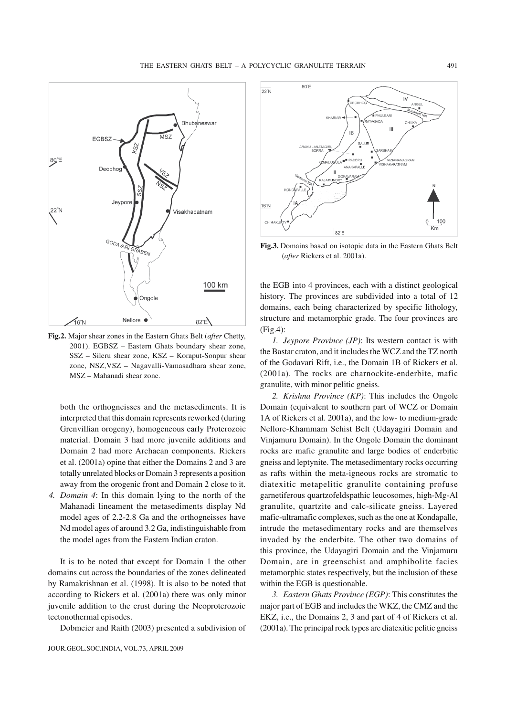

**Fig.2.** Major shear zones in the Eastern Ghats Belt (*after* Chetty, 2001). EGBSZ – Eastern Ghats boundary shear zone, SSZ – Sileru shear zone, KSZ – Koraput-Sonpur shear zone, NSZ,VSZ – Nagavalli-Vamasadhara shear zone, MSZ – Mahanadi shear zone.

both the orthogneisses and the metasediments. It is interpreted that this domain represents reworked (during Grenvillian orogeny), homogeneous early Proterozoic material. Domain 3 had more juvenile additions and Domain 2 had more Archaean components. Rickers et al. (2001a) opine that either the Domains 2 and 3 are totally unrelated blocks or Domain 3 represents a position away from the orogenic front and Domain 2 close to it.

*4. Domain 4*: In this domain lying to the north of the Mahanadi lineament the metasediments display Nd model ages of 2.2-2.8 Ga and the orthogneisses have Nd model ages of around 3.2 Ga, indistinguishable from the model ages from the Eastern Indian craton.

It is to be noted that except for Domain 1 the other domains cut across the boundaries of the zones delineated by Ramakrishnan et al. (1998). It is also to be noted that according to Rickers et al. (2001a) there was only minor juvenile addition to the crust during the Neoproterozoic tectonothermal episodes.

Dobmeier and Raith (2003) presented a subdivision of



**Fig.3.** Domains based on isotopic data in the Eastern Ghats Belt (*after* Rickers et al. 2001a).

the EGB into 4 provinces, each with a distinct geological history. The provinces are subdivided into a total of 12 domains, each being characterized by specific lithology, structure and metamorphic grade. The four provinces are (Fig.4):

*1. Jeypore Province (JP)*: Its western contact is with the Bastar craton, and it includes the WCZ and the TZ north of the Godavari Rift, i.e., the Domain 1B of Rickers et al. (2001a). The rocks are charnockite-enderbite, mafic granulite, with minor pelitic gneiss.

*2. Krishna Province (KP)*: This includes the Ongole Domain (equivalent to southern part of WCZ or Domain 1A of Rickers et al. 2001a), and the low- to medium-grade Nellore-Khammam Schist Belt (Udayagiri Domain and Vinjamuru Domain). In the Ongole Domain the dominant rocks are mafic granulite and large bodies of enderbitic gneiss and leptynite. The metasedimentary rocks occurring as rafts within the meta-igneous rocks are stromatic to diatexitic metapelitic granulite containing profuse garnetiferous quartzofeldspathic leucosomes, high-Mg-Al granulite, quartzite and calc-silicate gneiss. Layered mafic-ultramafic complexes, such as the one at Kondapalle, intrude the metasedimentary rocks and are themselves invaded by the enderbite. The other two domains of this province, the Udayagiri Domain and the Vinjamuru Domain, are in greenschist and amphibolite facies metamorphic states respectively, but the inclusion of these within the EGB is questionable.

*3. Eastern Ghats Province (EGP)*: This constitutes the major part of EGB and includes the WKZ, the CMZ and the EKZ, i.e., the Domains 2, 3 and part of 4 of Rickers et al. (2001a). The principal rock types are diatexitic pelitic gneiss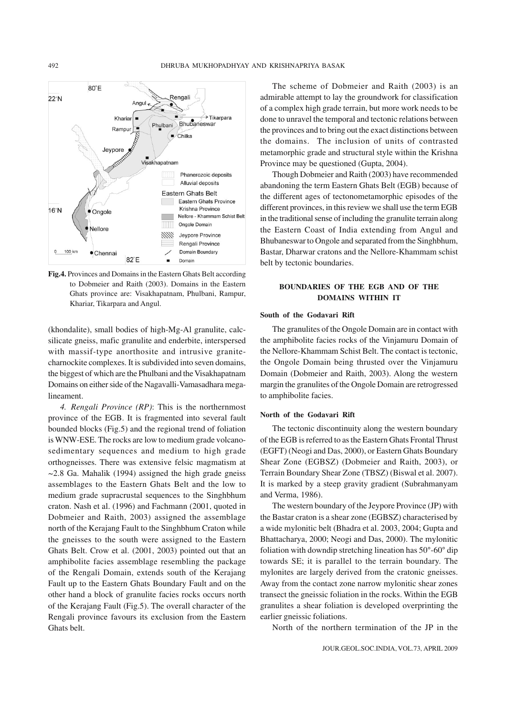

**Fig.4.** Provinces and Domains in the Eastern Ghats Belt according to Dobmeier and Raith (2003). Domains in the Eastern Ghats province are: Visakhapatnam, Phulbani, Rampur, Khariar, Tikarpara and Angul.

(khondalite), small bodies of high-Mg-Al granulite, calcsilicate gneiss, mafic granulite and enderbite, interspersed with massif-type anorthosite and intrusive granitecharnockite complexes. It is subdivided into seven domains, the biggest of which are the Phulbani and the Visakhapatnam Domains on either side of the Nagavalli-Vamasadhara megalineament.

*4. Rengali Province (RP)*: This is the northernmost province of the EGB. It is fragmented into several fault bounded blocks (Fig.5) and the regional trend of foliation is WNW-ESE. The rocks are low to medium grade volcanosedimentary sequences and medium to high grade orthogneisses. There was extensive felsic magmatism at  $\sim$ 2.8 Ga. Mahalik (1994) assigned the high grade gneiss assemblages to the Eastern Ghats Belt and the low to medium grade supracrustal sequences to the Singhbhum craton. Nash et al. (1996) and Fachmann (2001, quoted in Dobmeier and Raith, 2003) assigned the assemblage north of the Kerajang Fault to the Singhbhum Craton while the gneisses to the south were assigned to the Eastern Ghats Belt. Crow et al. (2001, 2003) pointed out that an amphibolite facies assemblage resembling the package of the Rengali Domain, extends south of the Kerajang Fault up to the Eastern Ghats Boundary Fault and on the other hand a block of granulite facies rocks occurs north of the Kerajang Fault (Fig.5). The overall character of the Rengali province favours its exclusion from the Eastern Ghats belt.

The scheme of Dobmeier and Raith (2003) is an admirable attempt to lay the groundwork for classification of a complex high grade terrain, but more work needs to be done to unravel the temporal and tectonic relations between the provinces and to bring out the exact distinctions between the domains. The inclusion of units of contrasted metamorphic grade and structural style within the Krishna Province may be questioned (Gupta, 2004).

Though Dobmeier and Raith (2003) have recommended abandoning the term Eastern Ghats Belt (EGB) because of the different ages of tectonometamorphic episodes of the different provinces, in this review we shall use the term EGB in the traditional sense of including the granulite terrain along the Eastern Coast of India extending from Angul and Bhubaneswar to Ongole and separated from the Singhbhum, Bastar, Dharwar cratons and the Nellore-Khammam schist belt by tectonic boundaries.

# **BOUNDARIES OF THE EGB AND OF THE DOMAINS WITHIN IT**

# **South of the Godavari Rift**

The granulites of the Ongole Domain are in contact with the amphibolite facies rocks of the Vinjamuru Domain of the Nellore-Khammam Schist Belt. The contact is tectonic, the Ongole Domain being thrusted over the Vinjamuru Domain (Dobmeier and Raith, 2003). Along the western margin the granulites of the Ongole Domain are retrogressed to amphibolite facies.

# **North of the Godavari Rift**

The tectonic discontinuity along the western boundary of the EGB is referred to as the Eastern Ghats Frontal Thrust (EGFT) (Neogi and Das, 2000), or Eastern Ghats Boundary Shear Zone (EGBSZ) (Dobmeier and Raith, 2003), or Terrain Boundary Shear Zone (TBSZ) (Biswal et al. 2007). It is marked by a steep gravity gradient (Subrahmanyam and Verma, 1986).

The western boundary of the Jeypore Province (JP) with the Bastar craton is a shear zone (EGBSZ) characterised by a wide mylonitic belt (Bhadra et al. 2003, 2004; Gupta and Bhattacharya, 2000; Neogi and Das, 2000). The mylonitic foliation with downdip stretching lineation has 50°-60° dip towards SE; it is parallel to the terrain boundary. The mylonites are largely derived from the cratonic gneisses. Away from the contact zone narrow mylonitic shear zones transect the gneissic foliation in the rocks. Within the EGB granulites a shear foliation is developed overprinting the earlier gneissic foliations.

North of the northern termination of the JP in the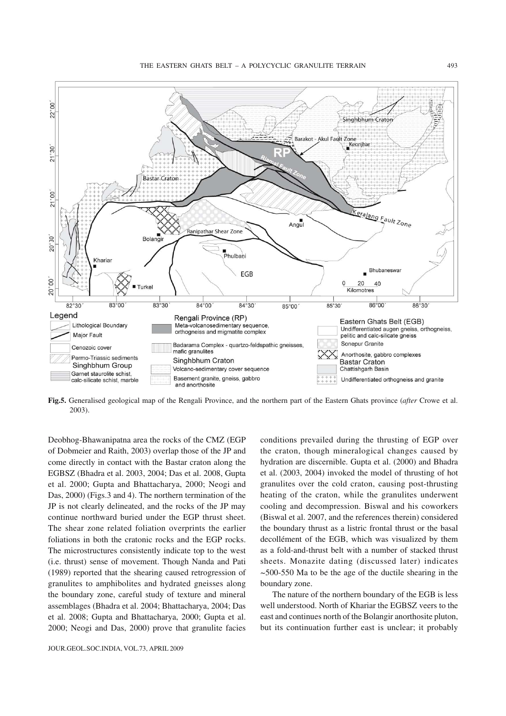

**Fig.5.** Generalised geological map of the Rengali Province, and the northern part of the Eastern Ghats province (*after* Crowe et al. 2003).

Deobhog-Bhawanipatna area the rocks of the CMZ (EGP of Dobmeier and Raith, 2003) overlap those of the JP and come directly in contact with the Bastar craton along the EGBSZ (Bhadra et al. 2003, 2004; Das et al. 2008, Gupta et al. 2000; Gupta and Bhattacharya, 2000; Neogi and Das, 2000) (Figs.3 and 4). The northern termination of the JP is not clearly delineated, and the rocks of the JP may continue northward buried under the EGP thrust sheet. The shear zone related foliation overprints the earlier foliations in both the cratonic rocks and the EGP rocks. The microstructures consistently indicate top to the west (i.e. thrust) sense of movement. Though Nanda and Pati (1989) reported that the shearing caused retrogression of granulites to amphibolites and hydrated gneisses along the boundary zone, careful study of texture and mineral assemblages (Bhadra et al. 2004; Bhattacharya, 2004; Das et al. 2008; Gupta and Bhattacharya, 2000; Gupta et al. 2000; Neogi and Das, 2000) prove that granulite facies conditions prevailed during the thrusting of EGP over the craton, though mineralogical changes caused by hydration are discernible. Gupta et al. (2000) and Bhadra et al. (2003, 2004) invoked the model of thrusting of hot granulites over the cold craton, causing post-thrusting heating of the craton, while the granulites underwent cooling and decompression. Biswal and his coworkers (Biswal et al. 2007, and the references therein) considered the boundary thrust as a listric frontal thrust or the basal decollément of the EGB, which was visualized by them as a fold-and-thrust belt with a number of stacked thrust sheets. Monazite dating (discussed later) indicates  $\approx$  500-550 Ma to be the age of the ductile shearing in the boundary zone.

The nature of the northern boundary of the EGB is less well understood. North of Khariar the EGBSZ veers to the east and continues north of the Bolangir anorthosite pluton, but its continuation further east is unclear; it probably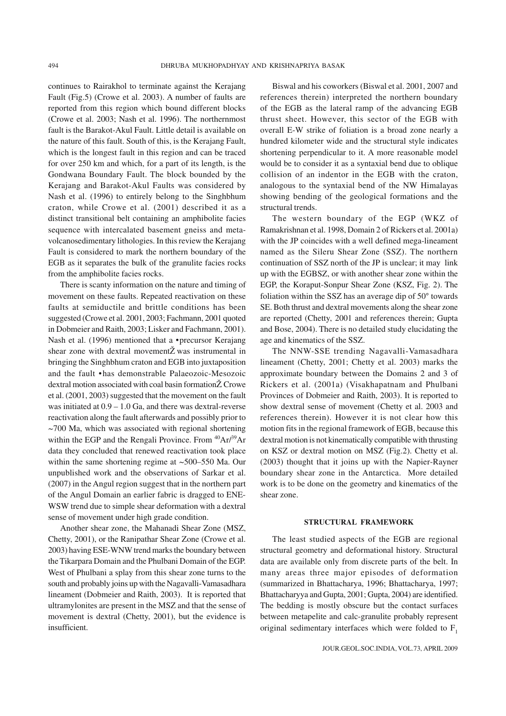continues to Rairakhol to terminate against the Kerajang Fault (Fig.5) (Crowe et al. 2003). A number of faults are reported from this region which bound different blocks (Crowe et al. 2003; Nash et al. 1996). The northernmost fault is the Barakot-Akul Fault. Little detail is available on the nature of this fault. South of this, is the Kerajang Fault, which is the longest fault in this region and can be traced for over 250 km and which, for a part of its length, is the Gondwana Boundary Fault. The block bounded by the Kerajang and Barakot-Akul Faults was considered by Nash et al. (1996) to entirely belong to the Singhbhum craton, while Crowe et al. (2001) described it as a distinct transitional belt containing an amphibolite facies sequence with intercalated basement gneiss and metavolcanosedimentary lithologies. In this review the Kerajang Fault is considered to mark the northern boundary of the EGB as it separates the bulk of the granulite facies rocks from the amphibolite facies rocks.

There is scanty information on the nature and timing of movement on these faults. Repeated reactivation on these faults at semiductile and brittle conditions has been suggested (Crowe et al. 2001, 2003; Fachmann, 2001 quoted in Dobmeier and Raith, 2003; Lisker and Fachmann, 2001). Nash et al. (1996) mentioned that a •precursor Kerajang shear zone with dextral movement $\check{Z}$  was instrumental in bringing the Singhbhum craton and EGB into juxtaposition and the fault  $\cdot$  has demonstrable Palaeozoic-Mesozoic dextral motion associated with coal basin formation  $\check{Z}$  Crowe et al. (2001, 2003) suggested that the movement on the fault was initiated at  $0.9 - 1.0$  Ga, and there was dextral-reverse reactivation along the fault afterwards and possibly prior to  $\sim$ 700 Ma, which was associated with regional shortening within the EGP and the Rengali Province. From  ${}^{40}Ar/{}^{39}Ar$ data they concluded that renewed reactivation took place within the same shortening regime at  $\sim$  500–550 Ma. Our unpublished work and the observations of Sarkar et al. (2007) in the Angul region suggest that in the northern part of the Angul Domain an earlier fabric is dragged to ENE-WSW trend due to simple shear deformation with a dextral sense of movement under high grade condition.

Another shear zone, the Mahanadi Shear Zone (MSZ, Chetty, 2001), or the Ranipathar Shear Zone (Crowe et al. 2003) having ESE-WNW trend marks the boundary between the Tikarpara Domain and the Phulbani Domain of the EGP. West of Phulbani a splay from this shear zone turns to the south and probably joins up with the Nagavalli-Vamasadhara lineament (Dobmeier and Raith, 2003). It is reported that ultramylonites are present in the MSZ and that the sense of movement is dextral (Chetty, 2001), but the evidence is insufficient.

Biswal and his coworkers (Biswal et al. 2001, 2007 and references therein) interpreted the northern boundary of the EGB as the lateral ramp of the advancing EGB thrust sheet. However, this sector of the EGB with overall E-W strike of foliation is a broad zone nearly a hundred kilometer wide and the structural style indicates shortening perpendicular to it. A more reasonable model would be to consider it as a syntaxial bend due to oblique collision of an indentor in the EGB with the craton, analogous to the syntaxial bend of the NW Himalayas showing bending of the geological formations and the structural trends.

The western boundary of the EGP (WKZ of Ramakrishnan et al. 1998, Domain 2 of Rickers et al. 2001a) with the JP coincides with a well defined mega-lineament named as the Sileru Shear Zone (SSZ). The northern continuation of SSZ north of the JP is unclear; it may link up with the EGBSZ, or with another shear zone within the EGP, the Koraput-Sonpur Shear Zone (KSZ, Fig. 2). The foliation within the SSZ has an average dip of 50° towards SE. Both thrust and dextral movements along the shear zone are reported (Chetty, 2001 and references therein; Gupta and Bose, 2004). There is no detailed study elucidating the age and kinematics of the SSZ.

The NNW-SSE trending Nagavalli-Vamasadhara lineament (Chetty, 2001; Chetty et al. 2003) marks the approximate boundary between the Domains 2 and 3 of Rickers et al. (2001a) (Visakhapatnam and Phulbani Provinces of Dobmeier and Raith, 2003). It is reported to show dextral sense of movement (Chetty et al. 2003 and references therein). However it is not clear how this motion fits in the regional framework of EGB, because this dextral motion is not kinematically compatible with thrusting on KSZ or dextral motion on MSZ (Fig.2). Chetty et al. (2003) thought that it joins up with the Napier-Rayner boundary shear zone in the Antarctica. More detailed work is to be done on the geometry and kinematics of the shear zone.

#### **STRUCTURAL FRAMEWORK**

The least studied aspects of the EGB are regional structural geometry and deformational history. Structural data are available only from discrete parts of the belt. In many areas three major episodes of deformation (summarized in Bhattacharya, 1996; Bhattacharya, 1997; Bhattacharyya and Gupta, 2001; Gupta, 2004) are identified. The bedding is mostly obscure but the contact surfaces between metapelite and calc-granulite probably represent original sedimentary interfaces which were folded to  $F_1$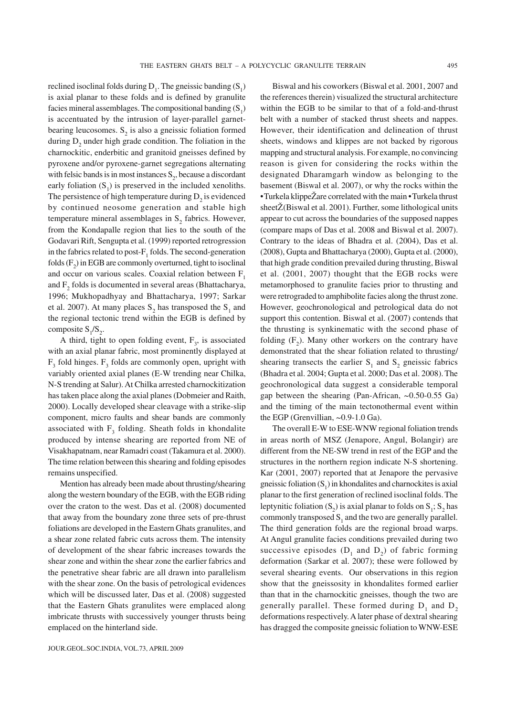reclined isoclinal folds during  $D_1$ . The gneissic banding  $(S_1)$ is axial planar to these folds and is defined by granulite facies mineral assemblages. The compositional banding  $(S_1)$ is accentuated by the intrusion of layer-parallel garnetbearing leucosomes.  $S_2$  is also a gneissic foliation formed during  $D_2$  under high grade condition. The foliation in the charnockitic, enderbitic and granitoid gneisses defined by pyroxene and/or pyroxene-garnet segregations alternating with felsic bands is in most instances  $S_2$ , because a discordant early foliation  $(S_1)$  is preserved in the included xenoliths. The persistence of high temperature during  $D_2$  is evidenced by continued neosome generation and stable high temperature mineral assemblages in  $S<sub>2</sub>$  fabrics. However, from the Kondapalle region that lies to the south of the Godavari Rift, Sengupta et al. (1999) reported retrogression in the fabrics related to post- $F_1$  folds. The second-generation folds  $(F_2)$  in EGB are commonly overturned, tight to isoclinal and occur on various scales. Coaxial relation between  $F_1$ and  $F<sub>2</sub>$  folds is documented in several areas (Bhattacharya, 1996; Mukhopadhyay and Bhattacharya, 1997; Sarkar et al. 2007). At many places  $S_2$  has transposed the  $S_1$  and the regional tectonic trend within the EGB is defined by composite  $S_1/S_2$ .

A third, tight to open folding event,  $F_3$ , is associated with an axial planar fabric, most prominently displayed at  $F<sub>3</sub>$  fold hinges.  $F<sub>3</sub>$  folds are commonly open, upright with variably oriented axial planes (E-W trending near Chilka, N-S trending at Salur). At Chilka arrested charnockitization has taken place along the axial planes (Dobmeier and Raith, 2000). Locally developed shear cleavage with a strike-slip component, micro faults and shear bands are commonly associated with  $F_3$  folding. Sheath folds in khondalite produced by intense shearing are reported from NE of Visakhapatnam, near Ramadri coast (Takamura et al. 2000). The time relation between this shearing and folding episodes remains unspecified.

Mention has already been made about thrusting/shearing along the western boundary of the EGB, with the EGB riding over the craton to the west. Das et al. (2008) documented that away from the boundary zone three sets of pre-thrust foliations are developed in the Eastern Ghats granulites, and a shear zone related fabric cuts across them. The intensity of development of the shear fabric increases towards the shear zone and within the shear zone the earlier fabrics and the penetrative shear fabric are all drawn into parallelism with the shear zone. On the basis of petrological evidences which will be discussed later, Das et al. (2008) suggested that the Eastern Ghats granulites were emplaced along imbricate thrusts with successively younger thrusts being emplaced on the hinterland side.

Biswal and his coworkers (Biswal et al. 2001, 2007 and the references therein) visualized the structural architecture within the EGB to be similar to that of a fold-and-thrust belt with a number of stacked thrust sheets and nappes. However, their identification and delineation of thrust sheets, windows and klippes are not backed by rigorous mapping and structural analysis. For example, no convincing reason is given for considering the rocks within the designated Dharamgarh window as belonging to the basement (Biswal et al. 2007), or why the rocks within the  $\cdot$ Turkela klippe $\check{Z}$ are correlated with the main  $\cdot$ Turkela thrust sheet $\check{Z}$ (Biswal et al. 2001). Further, some lithological units appear to cut across the boundaries of the supposed nappes (compare maps of Das et al. 2008 and Biswal et al. 2007). Contrary to the ideas of Bhadra et al. (2004), Das et al. (2008), Gupta and Bhattacharya (2000), Gupta et al. (2000), that high grade condition prevailed during thrusting, Biswal et al. (2001, 2007) thought that the EGB rocks were metamorphosed to granulite facies prior to thrusting and were retrograded to amphibolite facies along the thrust zone. However, geochronological and petrological data do not support this contention. Biswal et al. (2007) contends that the thrusting is synkinematic with the second phase of folding  $(F_2)$ . Many other workers on the contrary have demonstrated that the shear foliation related to thrusting/ shearing transects the earlier  $S_1$  and  $S_2$  gneissic fabrics (Bhadra et al. 2004; Gupta et al. 2000; Das et al. 2008). The geochronological data suggest a considerable temporal gap between the shearing (Pan-African,  $\sim 0.50 - 0.55$  Ga) and the timing of the main tectonothermal event within the EGP (Grenvillian,  $\sim 0.9-1.0$  Ga).

The overall E-W to ESE-WNW regional foliation trends in areas north of MSZ (Jenapore, Angul, Bolangir) are different from the NE-SW trend in rest of the EGP and the structures in the northern region indicate N-S shortening. Kar (2001, 2007) reported that at Jenapore the pervasive gneissic foliation  $(S_1)$  in khondalites and charnockites is axial planar to the first generation of reclined isoclinal folds. The leptynitic foliation (S<sub>2</sub>) is axial planar to folds on S<sub>1</sub>; S<sub>2</sub> has commonly transposed  $S_1$  and the two are generally parallel. The third generation folds are the regional broad warps. At Angul granulite facies conditions prevailed during two successive episodes  $(D_1 \text{ and } D_2)$  of fabric forming deformation (Sarkar et al. 2007); these were followed by several shearing events. Our observations in this region show that the gneissosity in khondalites formed earlier than that in the charnockitic gneisses, though the two are generally parallel. These formed during  $D_1$  and  $D_2$ deformations respectively. A later phase of dextral shearing has dragged the composite gneissic foliation to WNW-ESE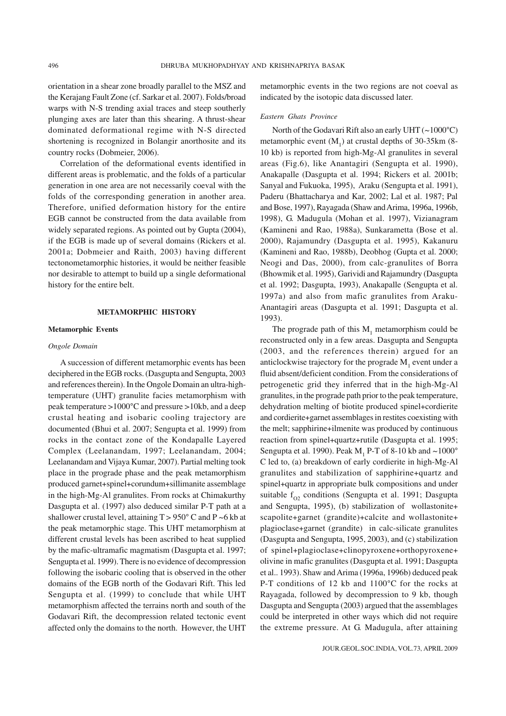orientation in a shear zone broadly parallel to the MSZ and the Kerajang Fault Zone (cf. Sarkar et al. 2007). Folds/broad warps with N-S trending axial traces and steep southerly plunging axes are later than this shearing. A thrust-shear dominated deformational regime with N-S directed shortening is recognized in Bolangir anorthosite and its country rocks (Dobmeier, 2006).

Correlation of the deformational events identified in different areas is problematic, and the folds of a particular generation in one area are not necessarily coeval with the folds of the corresponding generation in another area. Therefore, unified deformation history for the entire EGB cannot be constructed from the data available from widely separated regions. As pointed out by Gupta (2004), if the EGB is made up of several domains (Rickers et al. 2001a; Dobmeier and Raith, 2003) having different tectonometamorphic histories, it would be neither feasible nor desirable to attempt to build up a single deformational history for the entire belt.

# **METAMORPHIC HISTORY**

# **Metamorphic Events**

#### *Ongole Domain*

A succession of different metamorphic events has been deciphered in the EGB rocks. (Dasgupta and Sengupta, 2003 and references therein). In the Ongole Domain an ultra-hightemperature (UHT) granulite facies metamorphism with peak temperature >1000°C and pressure >10kb, and a deep crustal heating and isobaric cooling trajectory are documented (Bhui et al. 2007; Sengupta et al. 1999) from rocks in the contact zone of the Kondapalle Layered Complex (Leelanandam, 1997; Leelanandam, 2004; Leelanandam and Vijaya Kumar, 2007). Partial melting took place in the prograde phase and the peak metamorphism produced garnet+spinel+corundum+sillimanite assemblage in the high-Mg-Al granulites. From rocks at Chimakurthy Dasgupta et al. (1997) also deduced similar P-T path at a shallower crustal level, attaining  $T > 950^{\circ}$  C and P ~6 kb at the peak metamorphic stage. This UHT metamorphism at different crustal levels has been ascribed to heat supplied by the mafic-ultramafic magmatism (Dasgupta et al. 1997; Sengupta et al. 1999). There is no evidence of decompression following the isobaric cooling that is observed in the other domains of the EGB north of the Godavari Rift. This led Sengupta et al. (1999) to conclude that while UHT metamorphism affected the terrains north and south of the Godavari Rift, the decompression related tectonic event affected only the domains to the north. However, the UHT metamorphic events in the two regions are not coeval as indicated by the isotopic data discussed later.

# *Eastern Ghats Province*

North of the Godavari Rift also an early UHT (~1000°C) metamorphic event  $(M_1)$  at crustal depths of 30-35km (8-10 kb) is reported from high-Mg-Al granulites in several areas (Fig.6), like Anantagiri (Sengupta et al. 1990), Anakapalle (Dasgupta et al. 1994; Rickers et al. 2001b; Sanyal and Fukuoka, 1995), Araku (Sengupta et al. 1991), Paderu (Bhattacharya and Kar, 2002; Lal et al. 1987; Pal and Bose, 1997), Rayagada (Shaw and Arima, 1996a, 1996b, 1998), G. Madugula (Mohan et al. 1997), Vizianagram (Kamineni and Rao, 1988a), Sunkarametta (Bose et al. 2000), Rajamundry (Dasgupta et al. 1995), Kakanuru (Kamineni and Rao, 1988b), Deobhog (Gupta et al. 2000; Neogi and Das, 2000), from calc-granulites of Borra (Bhowmik et al. 1995), Garividi and Rajamundry (Dasgupta et al. 1992; Dasgupta, 1993), Anakapalle (Sengupta et al. 1997a) and also from mafic granulites from Araku-Anantagiri areas (Dasgupta et al. 1991; Dasgupta et al. 1993).

The prograde path of this  $M_1$  metamorphism could be reconstructed only in a few areas. Dasgupta and Sengupta (2003, and the references therein) argued for an anticlockwise trajectory for the prograde  $M<sub>1</sub>$  event under a fluid absent/deficient condition. From the considerations of petrogenetic grid they inferred that in the high-Mg-Al granulites, in the prograde path prior to the peak temperature, dehydration melting of biotite produced spinel+cordierite and cordierite+garnet assemblages in restites coexisting with the melt; sapphirine+ilmenite was produced by continuous reaction from spinel+quartz+rutile (Dasgupta et al. 1995; Sengupta et al. 1990). Peak M<sub>1</sub> P-T of 8-10 kb and  $\sim$ 1000° C led to, (a) breakdown of early cordierite in high-Mg-Al granulites and stabilization of sapphirine+quartz and spinel+quartz in appropriate bulk compositions and under suitable  $f_{02}$  conditions (Sengupta et al. 1991; Dasgupta and Sengupta, 1995), (b) stabilization of wollastonite+ scapolite+garnet (grandite)+calcite and wollastonite+ plagioclase+garnet (grandite) in calc-silicate granulites (Dasgupta and Sengupta, 1995, 2003), and (c) stabilization of spinel+plagioclase+clinopyroxene+orthopyroxene+ olivine in mafic granulites (Dasgupta et al. 1991; Dasgupta et al.. 1993). Shaw and Arima (1996a, 1996b) deduced peak P-T conditions of 12 kb and 1100°C for the rocks at Rayagada, followed by decompression to 9 kb, though Dasgupta and Sengupta (2003) argued that the assemblages could be interpreted in other ways which did not require the extreme pressure. At G. Madugula, after attaining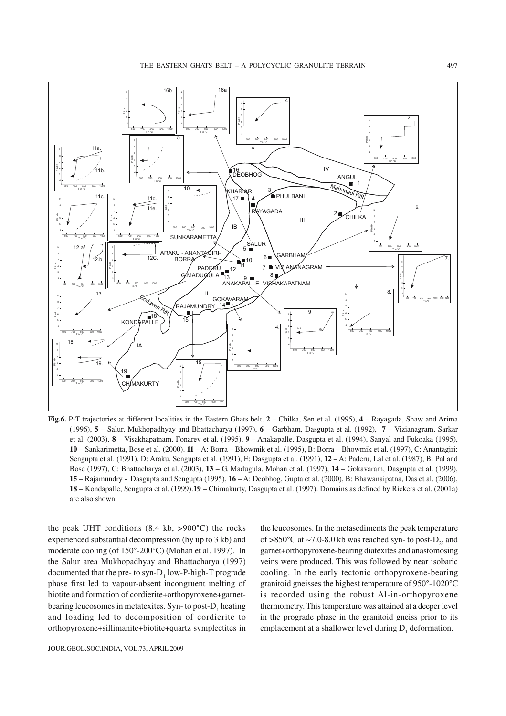

**Fig.6.** P-T trajectories at different localities in the Eastern Ghats belt. **2** – Chilka, Sen et al. (1995), **4** – Rayagada, Shaw and Arima (1996), **5** – Salur, Mukhopadhyay and Bhattacharya (1997), **6** – Garbham, Dasgupta et al. (1992), **7** – Vizianagram, Sarkar et al. (2003), **8** – Visakhapatnam, Fonarev et al. (1995), **9** – Anakapalle, Dasgupta et al. (1994), Sanyal and Fukoaka (1995), **10** – Sankarimetta, Bose et al. (2000). **11** – A: Borra – Bhowmik et al. (1995), B: Borra – Bhowmik et al. (1997), C: Anantagiri: Sengupta et al. (1991), D: Araku, Sengupta et al. (1991), E: Dasgupta et al. (1991), **12** – A: Paderu, Lal et al. (1987), B: Pal and Bose (1997), C: Bhattacharya et al. (2003), **13** – G. Madugula, Mohan et al. (1997), **14** – Gokavaram, Dasgupta et al. (1999), **15** – Rajamundry - Dasgupta and Sengupta (1995), **16** – A: Deobhog, Gupta et al. (2000), B: Bhawanaipatna, Das et al. (2006), **18** – Kondapalle, Sengupta et al. (1999).**19** – Chimakurty, Dasgupta et al. (1997). Domains as defined by Rickers et al. (2001a) are also shown.

the peak UHT conditions  $(8.4 \text{ kb}, >900^{\circ}\text{C})$  the rocks experienced substantial decompression (by up to 3 kb) and moderate cooling (of 150°-200°C) (Mohan et al. 1997). In the Salur area Mukhopadhyay and Bhattacharya (1997) documented that the pre- to  $syn-D_1$  low-P-high-T prograde phase first led to vapour-absent incongruent melting of biotite and formation of cordierite+orthopyroxene+garnetbearing leucosomes in metatexites. Syn- to post- $D_1$  heating and loading led to decomposition of cordierite to orthopyroxene+sillimanite+biotite+quartz symplectites in the leucosomes. In the metasediments the peak temperature of >850°C at ~7.0-8.0 kb was reached syn- to post- $D_2$ , and garnet+orthopyroxene-bearing diatexites and anastomosing veins were produced. This was followed by near isobaric cooling. In the early tectonic orthopyroxene-bearing granitoid gneisses the highest temperature of 950°-1020°C is recorded using the robust Al-in-orthopyroxene thermometry. This temperature was attained at a deeper level in the prograde phase in the granitoid gneiss prior to its emplacement at a shallower level during  $D_1$  deformation.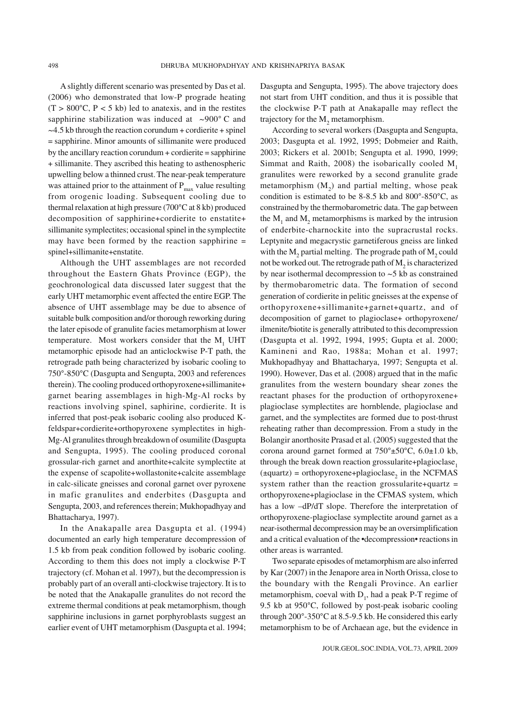A slightly different scenario was presented by Das et al. (2006) who demonstrated that low-P prograde heating  $(T > 800^{\circ}C, P < 5$  kb) led to anatexis, and in the restites sapphirine stabilization was induced at  $\sim 900^{\circ}$  C and  $\sim$  4.5 kb through the reaction corundum + cordierite + spinel = sapphirine. Minor amounts of sillimanite were produced by the ancillary reaction corundum + cordierite = sapphirine + sillimanite. They ascribed this heating to asthenospheric upwelling below a thinned crust. The near-peak temperature was attained prior to the attainment of  $P_{\text{max}}$  value resulting from orogenic loading. Subsequent cooling due to thermal relaxation at high pressure (700°C at 8 kb) produced decomposition of sapphirine+cordierite to enstatite+ sillimanite symplectites; occasional spinel in the symplectite may have been formed by the reaction sapphirine = spinel+sillimanite+enstatite.

Although the UHT assemblages are not recorded throughout the Eastern Ghats Province (EGP), the geochronological data discussed later suggest that the early UHT metamorphic event affected the entire EGP. The absence of UHT assemblage may be due to absence of suitable bulk composition and/or thorough reworking during the later episode of granulite facies metamorphism at lower temperature. Most workers consider that the  $M<sub>1</sub> UHT$ metamorphic episode had an anticlockwise P-T path, the retrograde path being characterized by isobaric cooling to 750°-850°C (Dasgupta and Sengupta, 2003 and references therein). The cooling produced orthopyroxene+sillimanite+ garnet bearing assemblages in high-Mg-Al rocks by reactions involving spinel, saphirine, cordierite. It is inferred that post-peak isobaric cooling also produced Kfeldspar+cordierite+orthopyroxene symplectites in high-Mg-Al granulites through breakdown of osumilite (Dasgupta and Sengupta, 1995). The cooling produced coronal grossular-rich garnet and anorthite+calcite symplectite at the expense of scapolite+wollastonite+calcite assemblage in calc-silicate gneisses and coronal garnet over pyroxene in mafic granulites and enderbites (Dasgupta and Sengupta, 2003, and references therein; Mukhopadhyay and Bhattacharya, 1997).

In the Anakapalle area Dasgupta et al. (1994) documented an early high temperature decompression of 1.5 kb from peak condition followed by isobaric cooling. According to them this does not imply a clockwise P-T trajectory (cf. Mohan et al. 1997), but the decompression is probably part of an overall anti-clockwise trajectory. It is to be noted that the Anakapalle granulites do not record the extreme thermal conditions at peak metamorphism, though sapphirine inclusions in garnet porphyroblasts suggest an earlier event of UHT metamorphism (Dasgupta et al. 1994; Dasgupta and Sengupta, 1995). The above trajectory does not start from UHT condition, and thus it is possible that the clockwise P-T path at Anakapalle may reflect the trajectory for the  $\text{M}_2$  metamorphism.

According to several workers (Dasgupta and Sengupta, 2003; Dasgupta et al. 1992, 1995; Dobmeier and Raith, 2003; Rickers et al. 2001b; Sengupta et al. 1990, 1999; Simmat and Raith, 2008) the isobarically cooled  $M<sub>1</sub>$ granulites were reworked by a second granulite grade metamorphism  $(M<sub>2</sub>)$  and partial melting, whose peak condition is estimated to be 8-8.5 kb and 800°-850°C, as constrained by the thermobarometric data. The gap between the  $M_1$  and  $M_2$  metamorphisms is marked by the intrusion of enderbite-charnockite into the supracrustal rocks. Leptynite and megacrystic garnetiferous gneiss are linked with the  $\text{M}_2^{}$  partial melting. The prograde path of  $\text{M}_2^{}$  could not be worked out. The retrograde path of  $\mathrm{M}_2^{}$  is characterized by near isothermal decompression to  $\sim$  5 kb as constrained by thermobarometric data. The formation of second generation of cordierite in pelitic gneisses at the expense of orthopyroxene+sillimanite+garnet+quartz, and of decomposition of garnet to plagioclase+ orthopyroxene/ ilmenite/biotite is generally attributed to this decompression (Dasgupta et al. 1992, 1994, 1995; Gupta et al. 2000; Kamineni and Rao, 1988a; Mohan et al. 1997; Mukhopadhyay and Bhattacharya, 1997; Sengupta et al. 1990). However, Das et al. (2008) argued that in the mafic granulites from the western boundary shear zones the reactant phases for the production of orthopyroxene+ plagioclase symplectites are hornblende, plagioclase and garnet, and the symplectites are formed due to post-thrust reheating rather than decompression. From a study in the Bolangir anorthosite Prasad et al. (2005) suggested that the corona around garnet formed at 750°±50°C, 6.0±1.0 kb, through the break down reaction grossularite+plagioclase,  $(\pm$ quartz) = orthopyroxene+plagioclase<sub>2</sub> in the NCFMAS system rather than the reaction grossularite+quartz  $=$ orthopyroxene+plagioclase in the CFMAS system, which has a low –dP/dT slope. Therefore the interpretation of orthopyroxene-plagioclase symplectite around garnet as a near-isothermal decompression may be an oversimplification and a critical evaluation of the **·**decompression• reactions in other areas is warranted.

Two separate episodes of metamorphism are also inferred by Kar (2007) in the Jenapore area in North Orissa, close to the boundary with the Rengali Province. An earlier metamorphism, coeval with  $D_1$ , had a peak P-T regime of 9.5 kb at 950°C, followed by post-peak isobaric cooling through 200°-350°C at 8.5-9.5 kb. He considered this early metamorphism to be of Archaean age, but the evidence in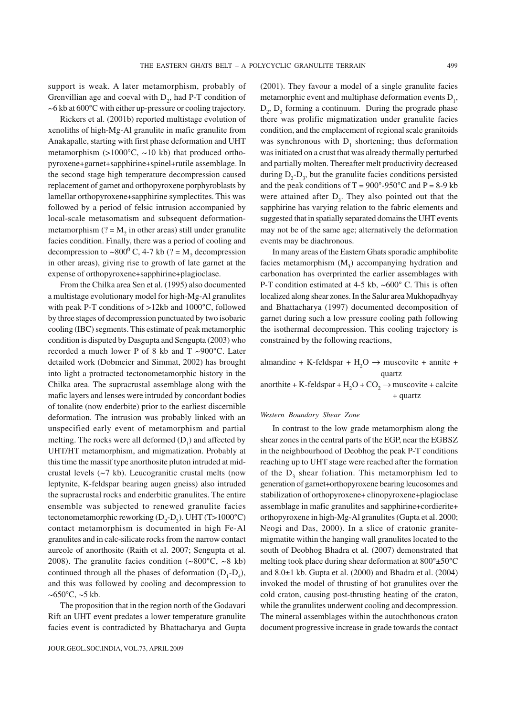support is weak. A later metamorphism, probably of Grenvillian age and coeval with  $D_2$ , had P-T condition of  $~6$  kb at 600 $\degree$ C with either up-pressure or cooling trajectory.

Rickers et al. (2001b) reported multistage evolution of xenoliths of high-Mg-Al granulite in mafic granulite from Anakapalle, starting with first phase deformation and UHT metamorphism  $(>1000\degree C, \sim 10 \text{ kb})$  that produced orthopyroxene+garnet+sapphirine+spinel+rutile assemblage. In the second stage high temperature decompression caused replacement of garnet and orthopyroxene porphyroblasts by lamellar orthopyroxene+sapphirine symplectites. This was followed by a period of felsic intrusion accompanied by local-scale metasomatism and subsequent deformationmetamorphism  $(2 = M<sub>2</sub>)$  in other areas) still under granulite facies condition. Finally, there was a period of cooling and decompression to  $\sim 800^{\circ}$  C, 4-7 kb (? = M<sub>2</sub> decompression in other areas), giving rise to growth of late garnet at the expense of orthopyroxene+sapphirine+plagioclase.

From the Chilka area Sen et al. (1995) also documented a multistage evolutionary model for high-Mg-Al granulites with peak P-T conditions of >12kb and 1000°C, followed by three stages of decompression punctuated by two isobaric cooling (IBC) segments. This estimate of peak metamorphic condition is disputed by Dasgupta and Sengupta (2003) who recorded a much lower P of 8 kb and T ~900°C. Later detailed work (Dobmeier and Simmat, 2002) has brought into light a protracted tectonometamorphic history in the Chilka area. The supracrustal assemblage along with the mafic layers and lenses were intruded by concordant bodies of tonalite (now enderbite) prior to the earliest discernible deformation. The intrusion was probably linked with an unspecified early event of metamorphism and partial melting. The rocks were all deformed  $(D_1)$  and affected by UHT/HT metamorphism, and migmatization. Probably at this time the massif type anorthosite pluton intruded at midcrustal levels (~7 kb). Leucogranitic crustal melts (now leptynite, K-feldspar bearing augen gneiss) also intruded the supracrustal rocks and enderbitic granulites. The entire ensemble was subjected to renewed granulite facies tectonometamorphic reworking  $(D_2-D_3)$ . UHT (T>1000°C) contact metamorphism is documented in high Fe-Al granulites and in calc-silicate rocks from the narrow contact aureole of anorthosite (Raith et al. 2007; Sengupta et al. 2008). The granulite facies condition  $({\sim}800^{\circ}C, {\sim}8$  kb) continued through all the phases of deformation  $(D_1-D_4)$ , and this was followed by cooling and decompression to  $\sim 650^{\circ}$ C,  $\sim 5$  kb.

The proposition that in the region north of the Godavari Rift an UHT event predates a lower temperature granulite facies event is contradicted by Bhattacharya and Gupta (2001). They favour a model of a single granulite facies metamorphic event and multiphase deformation events  $D_1$ ,  $D_2$ ,  $D_3$  forming a continuum. During the prograde phase there was prolific migmatization under granulite facies condition, and the emplacement of regional scale granitoids was synchronous with  $D_1$  shortening; thus deformation was initiated on a crust that was already thermally perturbed and partially molten. Thereafter melt productivity decreased during  $D_2$ - $D_3$ , but the granulite facies conditions persisted and the peak conditions of  $T = 900^{\circ} - 950^{\circ}C$  and  $P = 8 - 9$  kb were attained after  $D_3$ . They also pointed out that the sapphirine has varying relation to the fabric elements and suggested that in spatially separated domains the UHT events may not be of the same age; alternatively the deformation events may be diachronous.

In many areas of the Eastern Ghats sporadic amphibolite facies metamorphism  $(M_3)$  accompanying hydration and carbonation has overprinted the earlier assemblages with P-T condition estimated at 4-5 kb,  $\sim 600^\circ$  C. This is often localized along shear zones. In the Salur area Mukhopadhyay and Bhattacharya (1997) documented decomposition of garnet during such a low pressure cooling path following the isothermal decompression. This cooling trajectory is constrained by the following reactions,

almandine + K-feldspar +  $H_2O \rightarrow$  muscovite + annite + quartz

anorthite + K-feldspar + H<sub>2</sub>O + CO<sub>2</sub>  $\rightarrow$  muscovite + calcite + quartz

# *Western Boundary Shear Zone*

In contrast to the low grade metamorphism along the shear zones in the central parts of the EGP, near the EGBSZ in the neighbourhood of Deobhog the peak P-T conditions reaching up to UHT stage were reached after the formation of the  $D_3$  shear foliation. This metamorphism led to generation of garnet+orthopyroxene bearing leucosomes and stabilization of orthopyroxene+ clinopyroxene+plagioclase assemblage in mafic granulites and sapphirine+cordierite+ orthopyroxene in high-Mg-Al granulites (Gupta et al. 2000; Neogi and Das, 2000). In a slice of cratonic granitemigmatite within the hanging wall granulites located to the south of Deobhog Bhadra et al. (2007) demonstrated that melting took place during shear deformation at 800°±50°C and 8.0±1 kb. Gupta et al. (2000) and Bhadra et al. (2004) invoked the model of thrusting of hot granulites over the cold craton, causing post-thrusting heating of the craton, while the granulites underwent cooling and decompression. The mineral assemblages within the autochthonous craton document progressive increase in grade towards the contact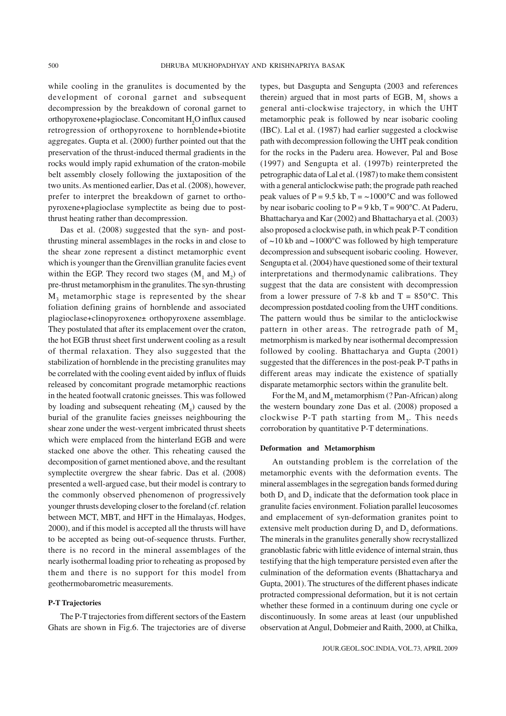while cooling in the granulites is documented by the development of coronal garnet and subsequent decompression by the breakdown of coronal garnet to orthopyroxene+plagioclase. Concomitant H<sub>2</sub>O influx caused retrogression of orthopyroxene to hornblende+biotite aggregates. Gupta et al. (2000) further pointed out that the preservation of the thrust-induced thermal gradients in the rocks would imply rapid exhumation of the craton-mobile belt assembly closely following the juxtaposition of the two units. As mentioned earlier, Das et al. (2008), however, prefer to interpret the breakdown of garnet to orthopyroxene+plagioclase symplectite as being due to postthrust heating rather than decompression.

Das et al. (2008) suggested that the syn- and postthrusting mineral assemblages in the rocks in and close to the shear zone represent a distinct metamorphic event which is younger than the Grenvillian granulite facies event within the EGP. They record two stages  $(M_1 \text{ and } M_2)$  of pre-thrust metamorphism in the granulites. The syn-thrusting  $M<sub>3</sub>$  metamorphic stage is represented by the shear foliation defining grains of hornblende and associated plagioclase+clinopyroxene± orthopyroxene assemblage. They postulated that after its emplacement over the craton, the hot EGB thrust sheet first underwent cooling as a result of thermal relaxation. They also suggested that the stabilization of hornblende in the precisting granulites may be correlated with the cooling event aided by influx of fluids released by concomitant prograde metamorphic reactions in the heated footwall cratonic gneisses. This was followed by loading and subsequent reheating  $(M<sub>4</sub>)$  caused by the burial of the granulite facies gneisses neighbouring the shear zone under the west-vergent imbricated thrust sheets which were emplaced from the hinterland EGB and were stacked one above the other. This reheating caused the decomposition of garnet mentioned above, and the resultant symplectite overgrew the shear fabric. Das et al. (2008) presented a well-argued case, but their model is contrary to the commonly observed phenomenon of progressively younger thrusts developing closer to the foreland (cf. relation between MCT, MBT, and HFT in the Himalayas, Hodges, 2000), and if this model is accepted all the thrusts will have to be accepted as being out-of-sequence thrusts. Further, there is no record in the mineral assemblages of the nearly isothermal loading prior to reheating as proposed by them and there is no support for this model from geothermobarometric measurements.

# **P-T Trajectories**

The P-T trajectories from different sectors of the Eastern Ghats are shown in Fig.6. The trajectories are of diverse

types, but Dasgupta and Sengupta (2003 and references therein) argued that in most parts of EGB,  $M<sub>1</sub>$  shows a general anti-clockwise trajectory, in which the UHT metamorphic peak is followed by near isobaric cooling (IBC). Lal et al. (1987) had earlier suggested a clockwise path with decompression following the UHT peak condition for the rocks in the Paderu area. However, Pal and Bose (1997) and Sengupta et al. (1997b) reinterpreted the petrographic data of Lal et al. (1987) to make them consistent with a general anticlockwise path; the prograde path reached peak values of  $P = 9.5$  kb,  $T = \sim 1000$ °C and was followed by near isobaric cooling to  $P = 9$  kb,  $T = 900^{\circ}$ C. At Paderu, Bhattacharya and Kar (2002) and Bhattacharya et al. (2003) also proposed a clockwise path, in which peak P-T condition of  $\sim$ 10 kb and  $\sim$ 1000°C was followed by high temperature decompression and subsequent isobaric cooling. However, Sengupta et al. (2004) have questioned some of their textural interpretations and thermodynamic calibrations. They suggest that the data are consistent with decompression from a lower pressure of 7-8 kb and  $T = 850^{\circ}$ C. This decompression postdated cooling from the UHT conditions. The pattern would thus be similar to the anticlockwise pattern in other areas. The retrograde path of  $M_2$ metmorphism is marked by near isothermal decompression followed by cooling. Bhattacharya and Gupta (2001) suggested that the differences in the post-peak P-T paths in different areas may indicate the existence of spatially disparate metamorphic sectors within the granulite belt.

For the  $M_3$  and  $M_4$  metamorphism (? Pan-African) along the western boundary zone Das et al. (2008) proposed a clockwise P-T path starting from  $M<sub>2</sub>$ . This needs corroboration by quantitative P-T determinations.

## **Deformation and Metamorphism**

An outstanding problem is the correlation of the metamorphic events with the deformation events. The mineral assemblages in the segregation bands formed during both  $D_1$  and  $D_2$  indicate that the deformation took place in granulite facies environment. Foliation parallel leucosomes and emplacement of syn-deformation granites point to extensive melt production during  $D_1$  and  $D_2$  deformations. The minerals in the granulites generally show recrystallized granoblastic fabric with little evidence of internal strain, thus testifying that the high temperature persisted even after the culmination of the deformation events (Bhattacharya and Gupta, 2001). The structures of the different phases indicate protracted compressional deformation, but it is not certain whether these formed in a continuum during one cycle or discontinuously. In some areas at least (our unpublished observation at Angul, Dobmeier and Raith, 2000, at Chilka,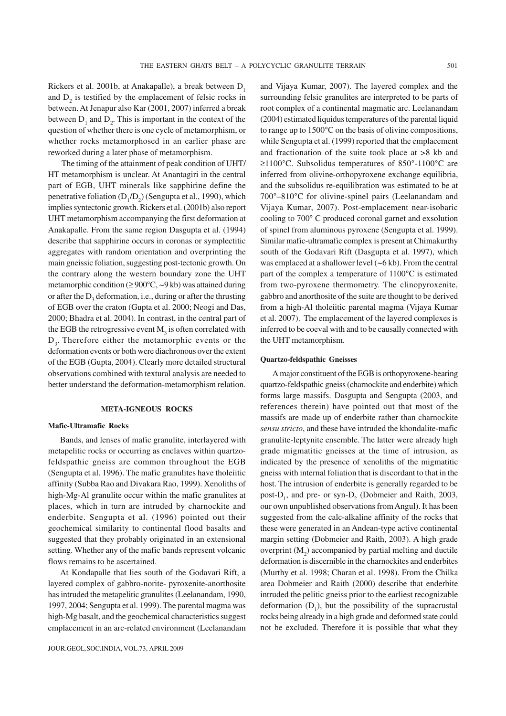Rickers et al. 2001b, at Anakapalle), a break between  $D_1$ and  $D<sub>2</sub>$  is testified by the emplacement of felsic rocks in between. At Jenapur also Kar (2001, 2007) inferred a break between  $D_1$  and  $D_2$ . This is important in the context of the question of whether there is one cycle of metamorphism, or whether rocks metamorphosed in an earlier phase are reworked during a later phase of metamorphism.

 The timing of the attainment of peak condition of UHT/ HT metamorphism is unclear. At Anantagiri in the central part of EGB, UHT minerals like sapphirine define the penetrative foliation  $(D_1/D_2)$  (Sengupta et al., 1990), which implies syntectonic growth. Rickers et al. (2001b) also report UHT metamorphism accompanying the first deformation at Anakapalle. From the same region Dasgupta et al. (1994) describe that sapphirine occurs in coronas or symplectitic aggregates with random orientation and overprinting the main gneissic foliation, suggesting post-tectonic growth. On the contrary along the western boundary zone the UHT metamorphic condition ( $\geq$  900°C,  $\sim$  9 kb) was attained during or after the  $D_3$  deformation, i.e., during or after the thrusting of EGB over the craton (Gupta et al. 2000; Neogi and Das, 2000; Bhadra et al. 2004). In contrast, in the central part of the EGB the retrogressive event  $M_3$  is often correlated with  $D<sub>3</sub>$ . Therefore either the metamorphic events or the deformation events or both were diachronous over the extent of the EGB (Gupta, 2004). Clearly more detailed structural observations combined with textural analysis are needed to better understand the deformation-metamorphism relation.

# **META-IGNEOUS ROCKS**

# **Mafic-Ultramafic Rocks**

Bands, and lenses of mafic granulite, interlayered with metapelitic rocks or occurring as enclaves within quartzofeldspathic gneiss are common throughout the EGB (Sengupta et al. 1996). The mafic granulites have tholeiitic affinity (Subba Rao and Divakara Rao, 1999). Xenoliths of high-Mg-Al granulite occur within the mafic granulites at places, which in turn are intruded by charnockite and enderbite. Sengupta et al. (1996) pointed out their geochemical similarity to continental flood basalts and suggested that they probably originated in an extensional setting. Whether any of the mafic bands represent volcanic flows remains to be ascertained.

At Kondapalle that lies south of the Godavari Rift, a layered complex of gabbro-norite- pyroxenite-anorthosite has intruded the metapelitic granulites (Leelanandam, 1990, 1997, 2004; Sengupta et al. 1999). The parental magma was high-Mg basalt, and the geochemical characteristics suggest emplacement in an arc-related environment (Leelanandam and Vijaya Kumar, 2007). The layered complex and the surrounding felsic granulites are interpreted to be parts of root complex of a continental magmatic arc. Leelanandam (2004) estimated liquidus temperatures of the parental liquid to range up to 1500°C on the basis of olivine compositions, while Sengupta et al. (1999) reported that the emplacement and fractionation of the suite took place at >8 kb and ≥1100°C. Subsolidus temperatures of 850°-1100°C are inferred from olivine-orthopyroxene exchange equilibria, and the subsolidus re-equilibration was estimated to be at 700°–810°C for olivine-spinel pairs (Leelanandam and Vijaya Kumar, 2007). Post-emplacement near-isobaric cooling to 700° C produced coronal garnet and exsolution of spinel from aluminous pyroxene (Sengupta et al. 1999). Similar mafic-ultramafic complex is present at Chimakurthy south of the Godavari Rift (Dasgupta et al. 1997), which was emplaced at a shallower level (~6 kb). From the central part of the complex a temperature of 1100°C is estimated from two-pyroxene thermometry. The clinopyroxenite, gabbro and anorthosite of the suite are thought to be derived from a high-Al tholeiitic parental magma (Vijaya Kumar et al. 2007). The emplacement of the layered complexes is inferred to be coeval with and to be causally connected with the UHT metamorphism.

#### **Quartzo-feldspathic Gneisses**

A major constituent of the EGB is orthopyroxene-bearing quartzo-feldspathic gneiss (charnockite and enderbite) which forms large massifs. Dasgupta and Sengupta (2003, and references therein) have pointed out that most of the massifs are made up of enderbite rather than charnockite *sensu stricto*, and these have intruded the khondalite-mafic granulite-leptynite ensemble. The latter were already high grade migmatitic gneisses at the time of intrusion, as indicated by the presence of xenoliths of the migmatitic gneiss with internal foliation that is discordant to that in the host. The intrusion of enderbite is generally regarded to be post- $D_1$ , and pre- or syn- $D_2$  (Dobmeier and Raith, 2003, our own unpublished observations from Angul). It has been suggested from the calc-alkaline affinity of the rocks that these were generated in an Andean-type active continental margin setting (Dobmeier and Raith, 2003). A high grade overprint  $(M_2)$  accompanied by partial melting and ductile deformation is discernible in the charnockites and enderbites (Murthy et al. 1998; Charan et al. 1998). From the Chilka area Dobmeier and Raith (2000) describe that enderbite intruded the pelitic gneiss prior to the earliest recognizable deformation  $(D_1)$ , but the possibility of the supracrustal rocks being already in a high grade and deformed state could not be excluded. Therefore it is possible that what they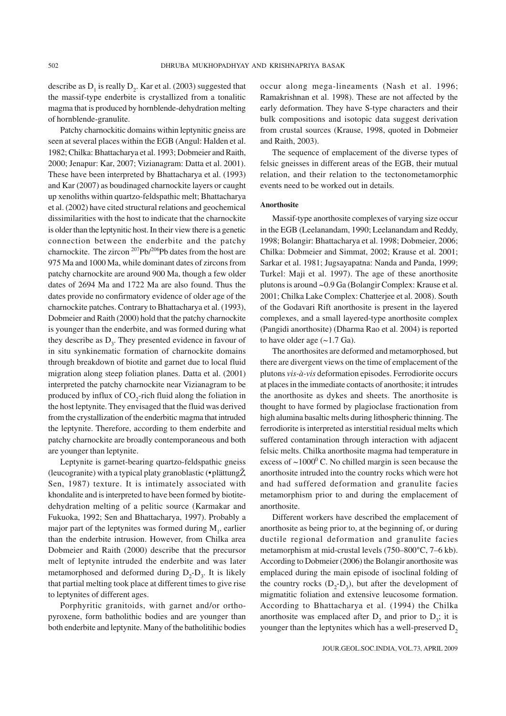describe as  $D_1$  is really  $D_2$ . Kar et al. (2003) suggested that the massif-type enderbite is crystallized from a tonalitic magma that is produced by hornblende-dehydration melting of hornblende-granulite.

Patchy charnockitic domains within leptynitic gneiss are seen at several places within the EGB (Angul: Halden et al. 1982; Chilka: Bhattacharya et al. 1993; Dobmeier and Raith, 2000; Jenapur: Kar, 2007; Vizianagram: Datta et al. 2001). These have been interpreted by Bhattacharya et al. (1993) and Kar (2007) as boudinaged charnockite layers or caught up xenoliths within quartzo-feldspathic melt; Bhattacharya et al. (2002) have cited structural relations and geochemical dissimilarities with the host to indicate that the charnockite is older than the leptynitic host. In their view there is a genetic connection between the enderbite and the patchy charnockite. The zircon  $^{207}Pb^{206}Pb$  dates from the host are 975 Ma and 1000 Ma, while dominant dates of zircons from patchy charnockite are around 900 Ma, though a few older dates of 2694 Ma and 1722 Ma are also found. Thus the dates provide no confirmatory evidence of older age of the charnockite patches. Contrary to Bhattacharya et al. (1993), Dobmeier and Raith (2000) hold that the patchy charnockite is younger than the enderbite, and was formed during what they describe as  $D_3$ . They presented evidence in favour of in situ synkinematic formation of charnockite domains through breakdown of biotite and garnet due to local fluid migration along steep foliation planes. Datta et al. (2001) interpreted the patchy charnockite near Vizianagram to be produced by influx of  $CO_2$ -rich fluid along the foliation in the host leptynite. They envisaged that the fluid was derived from the crystallization of the enderbitic magma that intruded the leptynite. Therefore, according to them enderbite and patchy charnockite are broadly contemporaneous and both are younger than leptynite.

Leptynite is garnet-bearing quartzo-feldspathic gneiss (leucogranite) with a typical platy granoblastic  $(•$  plättung $Z$ , Sen, 1987) texture. It is intimately associated with khondalite and is interpreted to have been formed by biotitedehydration melting of a pelitic source (Karmakar and Fukuoka, 1992; Sen and Bhattacharya, 1997). Probably a major part of the leptynites was formed during  $M$ <sub>1</sub>, earlier than the enderbite intrusion. However, from Chilka area Dobmeier and Raith (2000) describe that the precursor melt of leptynite intruded the enderbite and was later metamorphosed and deformed during  $D_2-D_3$ . It is likely that partial melting took place at different times to give rise to leptynites of different ages.

Porphyritic granitoids, with garnet and/or orthopyroxene, form batholithic bodies and are younger than both enderbite and leptynite. Many of the batholitihic bodies

occur along mega-lineaments (Nash et al. 1996; Ramakrishnan et al. 1998). These are not affected by the early deformation. They have S-type characters and their bulk compositions and isotopic data suggest derivation from crustal sources (Krause, 1998, quoted in Dobmeier and Raith, 2003).

The sequence of emplacement of the diverse types of felsic gneisses in different areas of the EGB, their mutual relation, and their relation to the tectonometamorphic events need to be worked out in details.

#### **Anorthosite**

Massif-type anorthosite complexes of varying size occur in the EGB (Leelanandam, 1990; Leelanandam and Reddy, 1998; Bolangir: Bhattacharya et al. 1998; Dobmeier, 2006; Chilka: Dobmeier and Simmat, 2002; Krause et al. 2001; Sarkar et al. 1981; Jugsayapatna: Nanda and Panda, 1999; Turkel: Maji et al. 1997). The age of these anorthosite plutons is around ~0.9 Ga (Bolangir Complex: Krause et al. 2001; Chilka Lake Complex: Chatterjee et al. 2008). South of the Godavari Rift anorthosite is present in the layered complexes, and a small layered-type anorthosite complex (Pangidi anorthosite) (Dharma Rao et al. 2004) is reported to have older age  $(\sim 1.7 \text{ Ga})$ .

The anorthosites are deformed and metamorphosed, but there are divergent views on the time of emplacement of the plutons *vis-à-vis* deformation episodes. Ferrodiorite occurs at places in the immediate contacts of anorthosite; it intrudes the anorthosite as dykes and sheets. The anorthosite is thought to have formed by plagioclase fractionation from high alumina basaltic melts during lithospheric thinning. The ferrodiorite is interpreted as interstitial residual melts which suffered contamination through interaction with adjacent felsic melts. Chilka anorthosite magma had temperature in excess of  $\sim 1000^{\circ}$  C. No chilled margin is seen because the anorthosite intruded into the country rocks which were hot and had suffered deformation and granulite facies metamorphism prior to and during the emplacement of anorthosite.

Different workers have described the emplacement of anorthosite as being prior to, at the beginning of, or during ductile regional deformation and granulite facies metamorphism at mid-crustal levels (750–800°C, 7–6 kb). According to Dobmeier (2006) the Bolangir anorthosite was emplaced during the main episode of isoclinal folding of the country rocks  $(D_2-D_3)$ , but after the development of migmatitic foliation and extensive leucosome formation. According to Bhattacharya et al. (1994) the Chilka anorthosite was emplaced after  $D_2$  and prior to  $D_3$ ; it is younger than the leptynites which has a well-preserved D<sub>2</sub>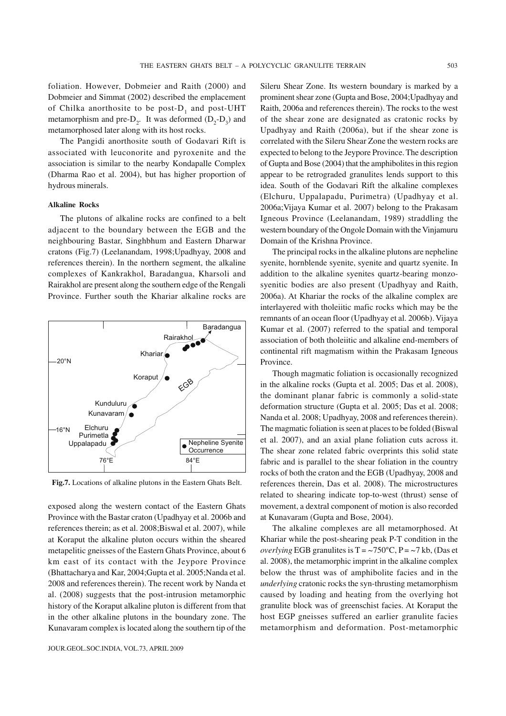foliation. However, Dobmeier and Raith (2000) and Dobmeier and Simmat (2002) described the emplacement of Chilka anorthosite to be post- $D_1$  and post-UHT metamorphism and pre- $D_2$ . It was deformed  $(D_2-D_3)$  and metamorphosed later along with its host rocks.

The Pangidi anorthosite south of Godavari Rift is associated with leuconorite and pyroxenite and the association is similar to the nearby Kondapalle Complex (Dharma Rao et al. 2004), but has higher proportion of hydrous minerals.

#### **Alkaline Rocks**

The plutons of alkaline rocks are confined to a belt adjacent to the boundary between the EGB and the neighbouring Bastar, Singhbhum and Eastern Dharwar cratons (Fig.7) (Leelanandam, 1998;Upadhyay, 2008 and references therein). In the northern segment, the alkaline complexes of Kankrakhol, Baradangua, Kharsoli and Rairakhol are present along the southern edge of the Rengali Province. Further south the Khariar alkaline rocks are



**Fig.7.** Locations of alkaline plutons in the Eastern Ghats Belt.

exposed along the western contact of the Eastern Ghats Province with the Bastar craton (Upadhyay et al. 2006b and references therein; as et al. 2008;Biswal et al. 2007), while at Koraput the alkaline pluton occurs within the sheared metapelitic gneisses of the Eastern Ghats Province, about 6 km east of its contact with the Jeypore Province (Bhattacharya and Kar, 2004;Gupta et al. 2005;Nanda et al. 2008 and references therein). The recent work by Nanda et al. (2008) suggests that the post-intrusion metamorphic history of the Koraput alkaline pluton is different from that in the other alkaline plutons in the boundary zone. The Kunavaram complex is located along the southern tip of the Sileru Shear Zone. Its western boundary is marked by a prominent shear zone (Gupta and Bose, 2004;Upadhyay and Raith, 2006a and references therein). The rocks to the west of the shear zone are designated as cratonic rocks by Upadhyay and Raith (2006a), but if the shear zone is correlated with the Sileru Shear Zone the western rocks are expected to belong to the Jeypore Province. The description of Gupta and Bose (2004) that the amphibolites in this region appear to be retrograded granulites lends support to this idea. South of the Godavari Rift the alkaline complexes (Elchuru, Uppalapadu, Purimetra) (Upadhyay et al. 2006a;Vijaya Kumar et al. 2007) belong to the Prakasam Igneous Province (Leelanandam, 1989) straddling the western boundary of the Ongole Domain with the Vinjamuru Domain of the Krishna Province.

The principal rocks in the alkaline plutons are nepheline syenite, hornblende syenite, syenite and quartz syenite. In addition to the alkaline syenites quartz-bearing monzosyenitic bodies are also present (Upadhyay and Raith, 2006a). At Khariar the rocks of the alkaline complex are interlayered with tholeiitic mafic rocks which may be the remnants of an ocean floor (Upadhyay et al. 2006b). Vijaya Kumar et al. (2007) referred to the spatial and temporal association of both tholeiitic and alkaline end-members of continental rift magmatism within the Prakasam Igneous Province.

Though magmatic foliation is occasionally recognized in the alkaline rocks (Gupta et al. 2005; Das et al. 2008), the dominant planar fabric is commonly a solid-state deformation structure (Gupta et al. 2005; Das et al. 2008; Nanda et al. 2008; Upadhyay, 2008 and references therein). The magmatic foliation is seen at places to be folded (Biswal et al. 2007), and an axial plane foliation cuts across it. The shear zone related fabric overprints this solid state fabric and is parallel to the shear foliation in the country rocks of both the craton and the EGB (Upadhyay, 2008 and references therein, Das et al. 2008). The microstructures related to shearing indicate top-to-west (thrust) sense of movement, a dextral component of motion is also recorded at Kunavaram (Gupta and Bose, 2004).

The alkaline complexes are all metamorphosed. At Khariar while the post-shearing peak P-T condition in the *overlying* EGB granulites is  $T = \sim 750$ °C,  $P = \sim 7$  kb, (Das et al. 2008), the metamorphic imprint in the alkaline complex below the thrust was of amphibolite facies and in the *underlying* cratonic rocks the syn-thrusting metamorphism caused by loading and heating from the overlying hot granulite block was of greenschist facies. At Koraput the host EGP gneisses suffered an earlier granulite facies metamorphism and deformation. Post-metamorphic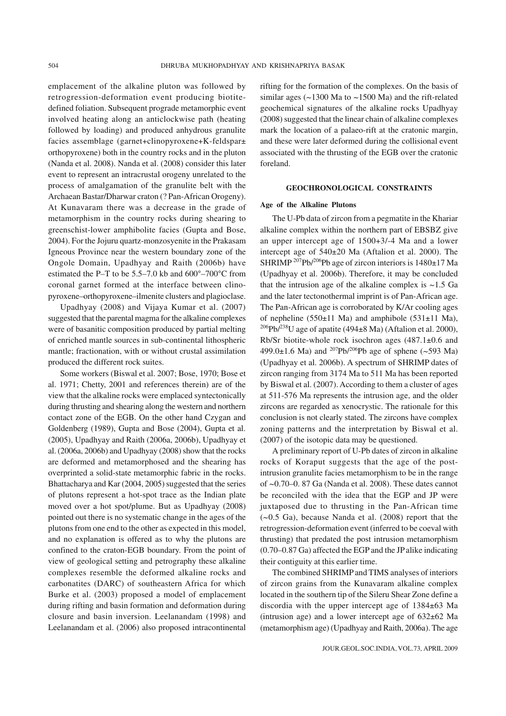emplacement of the alkaline pluton was followed by retrogression-deformation event producing biotitedefined foliation. Subsequent prograde metamorphic event involved heating along an anticlockwise path (heating followed by loading) and produced anhydrous granulite facies assemblage (garnet+clinopyroxene+K-feldspar± orthopyroxene) both in the country rocks and in the pluton (Nanda et al. 2008). Nanda et al. (2008) consider this later event to represent an intracrustal orogeny unrelated to the process of amalgamation of the granulite belt with the Archaean Bastar/Dharwar craton (? Pan-African Orogeny). At Kunavaram there was a decrease in the grade of metamorphism in the country rocks during shearing to greenschist-lower amphibolite facies (Gupta and Bose, 2004). For the Jojuru quartz-monzosyenite in the Prakasam Igneous Province near the western boundary zone of the Ongole Domain, Upadhyay and Raith (2006b) have estimated the P–T to be 5.5–7.0 kb and 600°–700°C from coronal garnet formed at the interface between clinopyroxene–orthopyroxene–ilmenite clusters and plagioclase.

Upadhyay (2008) and Vijaya Kumar et al. (2007) suggested that the parental magma for the alkaline complexes were of basanitic composition produced by partial melting of enriched mantle sources in sub-continental lithospheric mantle; fractionation, with or without crustal assimilation produced the different rock suites.

Some workers (Biswal et al. 2007; Bose, 1970; Bose et al. 1971; Chetty, 2001 and references therein) are of the view that the alkaline rocks were emplaced syntectonically during thrusting and shearing along the western and northern contact zone of the EGB. On the other hand Czygan and Goldenberg (1989), Gupta and Bose (2004), Gupta et al. (2005), Upadhyay and Raith (2006a, 2006b), Upadhyay et al. (2006a, 2006b) and Upadhyay (2008) show that the rocks are deformed and metamorphosed and the shearing has overprinted a solid-state metamorphic fabric in the rocks. Bhattacharya and Kar (2004, 2005) suggested that the series of plutons represent a hot-spot trace as the Indian plate moved over a hot spot/plume. But as Upadhyay (2008) pointed out there is no systematic change in the ages of the plutons from one end to the other as expected in this model, and no explanation is offered as to why the plutons are confined to the craton-EGB boundary. From the point of view of geological setting and petrography these alkaline complexes resemble the deformed alkaline rocks and carbonatites (DARC) of southeastern Africa for which Burke et al. (2003) proposed a model of emplacement during rifting and basin formation and deformation during closure and basin inversion. Leelanandam (1998) and Leelanandam et al. (2006) also proposed intracontinental rifting for the formation of the complexes. On the basis of similar ages ( $\sim$ 1300 Ma to  $\sim$ 1500 Ma) and the rift-related geochemical signatures of the alkaline rocks Upadhyay (2008) suggested that the linear chain of alkaline complexes mark the location of a palaeo-rift at the cratonic margin, and these were later deformed during the collisional event associated with the thrusting of the EGB over the cratonic foreland.

#### **GEOCHRONOLOGICAL CONSTRAINTS**

#### **Age of the Alkaline Plutons**

The U-Pb data of zircon from a pegmatite in the Khariar alkaline complex within the northern part of EBSBZ give an upper intercept age of 1500+3/-4 Ma and a lower intercept age of 540±20 Ma (Aftalion et al. 2000). The SHRIMP 207Pb/206Pb age of zircon interiors is 1480±17 Ma (Upadhyay et al. 2006b). Therefore, it may be concluded that the intrusion age of the alkaline complex is  $\sim$ 1.5 Ga and the later tectonothermal imprint is of Pan-African age. The Pan-African age is corroborated by K/Ar cooling ages of nepheline (550±11 Ma) and amphibole (531±11 Ma), <sup>206</sup>Pb/<sup>238</sup>U age of apatite (494 $\pm$ 8 Ma) (Aftalion et al. 2000), Rb/Sr biotite-whole rock isochron ages (487.1±0.6 and 499.0±1.6 Ma) and <sup>207</sup>Pb/<sup>206</sup>Pb age of sphene (~593 Ma) (Upadhyay et al. 2006b). A spectrum of SHRIMP dates of zircon ranging from 3174 Ma to 511 Ma has been reported by Biswal et al. (2007). According to them a cluster of ages at 511-576 Ma represents the intrusion age, and the older zircons are regarded as xenocrystic. The rationale for this conclusion is not clearly stated. The zircons have complex zoning patterns and the interpretation by Biswal et al. (2007) of the isotopic data may be questioned.

A preliminary report of U-Pb dates of zircon in alkaline rocks of Koraput suggests that the age of the postintrusion granulite facies metamorphism to be in the range of ~0.70–0. 87 Ga (Nanda et al. 2008). These dates cannot be reconciled with the idea that the EGP and JP were juxtaposed due to thrusting in the Pan-African time  $(-0.5 \text{ Ga})$ , because Nanda et al.  $(2008)$  report that the retrogression-deformation event (inferred to be coeval with thrusting) that predated the post intrusion metamorphism (0.70–0.87 Ga) affected the EGP and the JP alike indicating their contiguity at this earlier time.

The combined SHRIMP and TIMS analyses of interiors of zircon grains from the Kunavaram alkaline complex located in the southern tip of the Sileru Shear Zone define a discordia with the upper intercept age of 1384±63 Ma (intrusion age) and a lower intercept age of 632±62 Ma (metamorphism age) (Upadhyay and Raith, 2006a). The age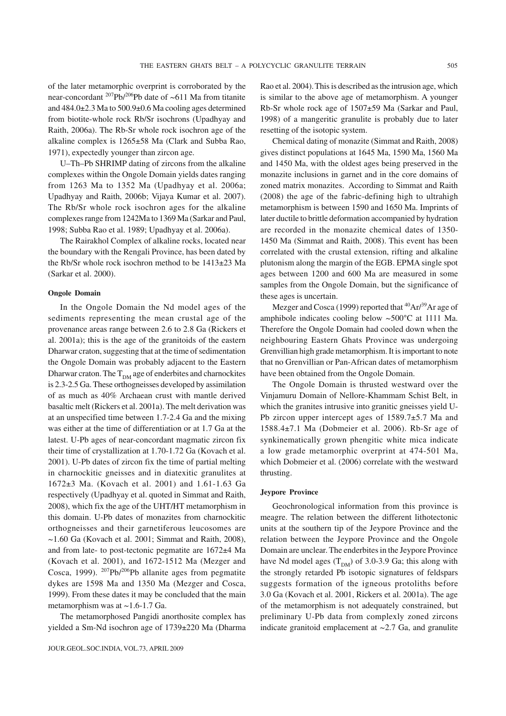of the later metamorphic overprint is corroborated by the near-concordant 207Pb/206Pb date of ~611 Ma from titanite and 484.0±2.3 Ma to 500.9±0.6 Ma cooling ages determined from biotite-whole rock Rb/Sr isochrons (Upadhyay and Raith, 2006a). The Rb-Sr whole rock isochron age of the alkaline complex is 1265±58 Ma (Clark and Subba Rao, 1971), expectedly younger than zircon age.

U–Th–Pb SHRIMP dating of zircons from the alkaline complexes within the Ongole Domain yields dates ranging from 1263 Ma to 1352 Ma (Upadhyay et al. 2006a; Upadhyay and Raith, 2006b; Vijaya Kumar et al. 2007). The Rb/Sr whole rock isochron ages for the alkaline complexes range from 1242Ma to 1369 Ma (Sarkar and Paul, 1998; Subba Rao et al. 1989; Upadhyay et al. 2006a).

The Rairakhol Complex of alkaline rocks, located near the boundary with the Rengali Province, has been dated by the Rb/Sr whole rock isochron method to be 1413±23 Ma (Sarkar et al. 2000).

# **Ongole Domain**

In the Ongole Domain the Nd model ages of the sediments representing the mean crustal age of the provenance areas range between 2.6 to 2.8 Ga (Rickers et al. 2001a); this is the age of the granitoids of the eastern Dharwar craton, suggesting that at the time of sedimentation the Ongole Domain was probably adjacent to the Eastern Dharwar craton. The  $T_{DM}$  age of enderbites and charnockites is 2.3-2.5 Ga. These orthogneisses developed by assimilation of as much as 40% Archaean crust with mantle derived basaltic melt (Rickers et al. 2001a). The melt derivation was at an unspecified time between 1.7-2.4 Ga and the mixing was either at the time of differentiation or at 1.7 Ga at the latest. U-Pb ages of near-concordant magmatic zircon fix their time of crystallization at 1.70-1.72 Ga (Kovach et al. 2001). U-Pb dates of zircon fix the time of partial melting in charnockitic gneisses and in diatexitic granulites at 1672±3 Ma. (Kovach et al. 2001) and 1.61-1.63 Ga respectively (Upadhyay et al. quoted in Simmat and Raith, 2008), which fix the age of the UHT/HT metamorphism in this domain. U-Pb dates of monazites from charnockitic orthogneisses and their garnetiferous leucosomes are  $\sim$ 1.60 Ga (Kovach et al. 2001; Simmat and Raith, 2008), and from late- to post-tectonic pegmatite are 1672±4 Ma (Kovach et al. 2001), and 1672-1512 Ma (Mezger and Cosca, 1999).  $207Pb/206Pb$  allanite ages from pegmatite dykes are 1598 Ma and 1350 Ma (Mezger and Cosca, 1999). From these dates it may be concluded that the main metamorphism was at  $\sim$ 1.6-1.7 Ga.

The metamorphosed Pangidi anorthosite complex has yielded a Sm-Nd isochron age of 1739±220 Ma (Dharma Rao et al. 2004). This is described as the intrusion age, which is similar to the above age of metamorphism. A younger Rb-Sr whole rock age of 1507±59 Ma (Sarkar and Paul, 1998) of a mangeritic granulite is probably due to later resetting of the isotopic system.

Chemical dating of monazite (Simmat and Raith, 2008) gives distinct populations at 1645 Ma, 1590 Ma, 1560 Ma and 1450 Ma, with the oldest ages being preserved in the monazite inclusions in garnet and in the core domains of zoned matrix monazites. According to Simmat and Raith (2008) the age of the fabric-defining high to ultrahigh metamorphism is between 1590 and 1650 Ma. Imprints of later ductile to brittle deformation accompanied by hydration are recorded in the monazite chemical dates of 1350- 1450 Ma (Simmat and Raith, 2008). This event has been correlated with the crustal extension, rifting and alkaline plutonism along the margin of the EGB. EPMA single spot ages between 1200 and 600 Ma are measured in some samples from the Ongole Domain, but the significance of these ages is uncertain.

Mezger and Cosca (1999) reported that  $^{40}Ar/^{39}Ar$  age of amphibole indicates cooling below ~500°C at 1111 Ma. Therefore the Ongole Domain had cooled down when the neighbouring Eastern Ghats Province was undergoing Grenvillian high grade metamorphism. It is important to note that no Grenvillian or Pan-African dates of metamorphism have been obtained from the Ongole Domain.

The Ongole Domain is thrusted westward over the Vinjamuru Domain of Nellore-Khammam Schist Belt, in which the granites intrusive into granitic gneisses yield U-Pb zircon upper intercept ages of 1589.7±5.7 Ma and 1588.4±7.1 Ma (Dobmeier et al. 2006). Rb-Sr age of synkinematically grown phengitic white mica indicate a low grade metamorphic overprint at 474-501 Ma, which Dobmeier et al. (2006) correlate with the westward thrusting.

## **Jeypore Province**

Geochronological information from this province is meagre. The relation between the different lithotectonic units at the southern tip of the Jeypore Province and the relation between the Jeypore Province and the Ongole Domain are unclear. The enderbites in the Jeypore Province have Nd model ages  $(T_{DM})$  of 3.0-3.9 Ga; this along with the strongly retarded Pb isotopic signatures of feldspars suggests formation of the igneous protoliths before 3.0 Ga (Kovach et al. 2001, Rickers et al. 2001a). The age of the metamorphism is not adequately constrained, but preliminary U-Pb data from complexly zoned zircons indicate granitoid emplacement at  $\sim$ 2.7 Ga, and granulite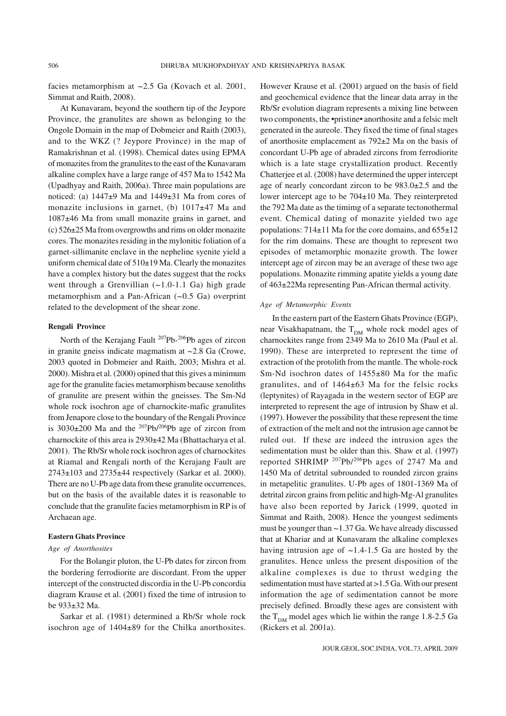facies metamorphism at  $\sim$ 2.5 Ga (Kovach et al. 2001, Simmat and Raith, 2008).

At Kunavaram, beyond the southern tip of the Jeypore Province, the granulites are shown as belonging to the Ongole Domain in the map of Dobmeier and Raith (2003), and to the WKZ (? Jeypore Province) in the map of Ramakrishnan et al. (1998). Chemical dates using EPMA of monazites from the granulites to the east of the Kunavaram alkaline complex have a large range of 457 Ma to 1542 Ma (Upadhyay and Raith, 2006a). Three main populations are noticed: (a) 1447±9 Ma and 1449±31 Ma from cores of monazite inclusions in garnet, (b) 1017±47 Ma and 1087±46 Ma from small monazite grains in garnet, and (c) 526±25 Ma from overgrowths and rims on older monazite cores. The monazites residing in the mylonitic foliation of a garnet-sillimanite enclave in the nepheline syenite yield a uniform chemical date of 510±19 Ma. Clearly the monazites have a complex history but the dates suggest that the rocks went through a Grenvillian  $(\sim 1.0-1.1 \text{ Ga})$  high grade metamorphism and a Pan-African  $(\sim 0.5 \text{ Ga})$  overprint related to the development of the shear zone.

### **Rengali Province**

North of the Kerajang Fault <sup>207</sup>Pb-<sup>206</sup>Pb ages of zircon in granite gneiss indicate magmatism at  $\sim$  2.8 Ga (Crowe, 2003 quoted in Dobmeier and Raith, 2003; Mishra et al. 2000). Mishra et al. (2000) opined that this gives a minimum age for the granulite facies metamorphism because xenoliths of granulite are present within the gneisses. The Sm-Nd whole rock isochron age of charnockite-mafic granulites from Jenapore close to the boundary of the Rengali Province is  $3030\pm200$  Ma and the  $^{207}Pb^{206}Pb$  age of zircon from charnockite of this area is 2930±42 Ma (Bhattacharya et al. 2001). The Rb/Sr whole rock isochron ages of charnockites at Riamal and Rengali north of the Kerajang Fault are 2743±103 and 2735±44 respectively (Sarkar et al. 2000). There are no U-Pb age data from these granulite occurrences, but on the basis of the available dates it is reasonable to conclude that the granulite facies metamorphism in RP is of Archaean age.

#### **Eastern Ghats Province**

# *Age of Anorthosites*

For the Bolangir pluton, the U-Pb dates for zircon from the bordering ferrodiorite are discordant. From the upper intercept of the constructed discordia in the U-Pb concordia diagram Krause et al. (2001) fixed the time of intrusion to be 933±32 Ma.

Sarkar et al. (1981) determined a Rb/Sr whole rock isochron age of 1404±89 for the Chilka anorthosites.

However Krause et al. (2001) argued on the basis of field and geochemical evidence that the linear data array in the Rb/Sr evolution diagram represents a mixing line between two components, the 'pristine' anorthosite and a felsic melt generated in the aureole. They fixed the time of final stages of anorthosite emplacement as 792±2 Ma on the basis of concordant U-Pb age of abraded zircons from ferrodiorite which is a late stage crystallization product. Recently Chatterjee et al. (2008) have determined the upper intercept age of nearly concordant zircon to be 983.0±2.5 and the lower intercept age to be 704±10 Ma. They reinterpreted the 792 Ma date as the timimg of a separate tectonothermal event. Chemical dating of monazite yielded two age populations: 714±11 Ma for the core domains, and 655±12 for the rim domains. These are thought to represent two episodes of metamorphic monazite growth. The lower intercept age of zircon may be an average of these two age populations. Monazite rimming apatite yields a young date of 463±22Ma representing Pan-African thermal activity.

## *Age of Metamorphic Events*

In the eastern part of the Eastern Ghats Province (EGP), near Visakhapatnam, the  $T<sub>DM</sub>$  whole rock model ages of charnockites range from 2349 Ma to 2610 Ma (Paul et al. 1990). These are interpreted to represent the time of extraction of the protolith from the mantle. The whole-rock Sm-Nd isochron dates of 1455±80 Ma for the mafic granulites, and of 1464±63 Ma for the felsic rocks (leptynites) of Rayagada in the western sector of EGP are interpreted to represent the age of intrusion by Shaw et al. (1997). However the possibility that these represent the time of extraction of the melt and not the intrusion age cannot be ruled out. If these are indeed the intrusion ages the sedimentation must be older than this. Shaw et al. (1997) reported SHRIMP 207Pb/206Pb ages of 2747 Ma and 1450 Ma of detrital subrounded to rounded zircon grains in metapelitic granulites. U-Pb ages of 1801-1369 Ma of detrital zircon grains from pelitic and high-Mg-Al granulites have also been reported by Jarick (1999, quoted in Simmat and Raith, 2008). Hence the youngest sediments must be younger than  $\sim$  1.37 Ga. We have already discussed that at Khariar and at Kunavaram the alkaline complexes having intrusion age of  $\sim$ 1.4-1.5 Ga are hosted by the granulites. Hence unless the present disposition of the alkaline complexes is due to thrust wedging the sedimentation must have started at >1.5 Ga. With our present information the age of sedimentation cannot be more precisely defined. Broadly these ages are consistent with the  $T_{DM}$  model ages which lie within the range 1.8-2.5 Ga (Rickers et al. 2001a).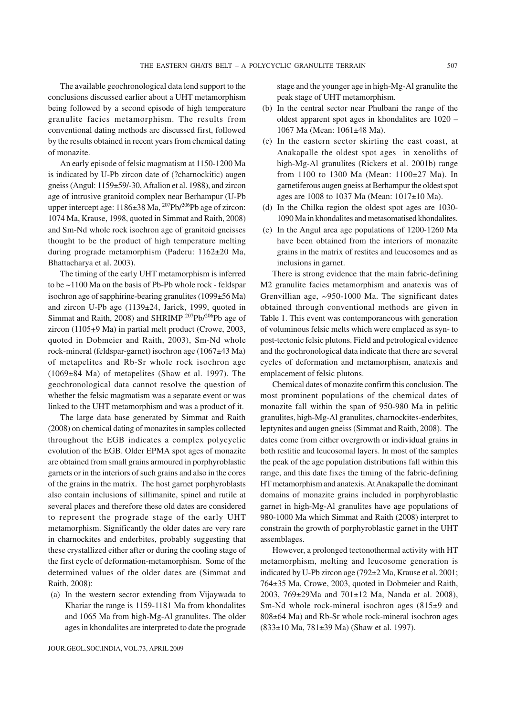The available geochronological data lend support to the conclusions discussed earlier about a UHT metamorphism being followed by a second episode of high temperature granulite facies metamorphism. The results from conventional dating methods are discussed first, followed by the results obtained in recent years from chemical dating of monazite.

An early episode of felsic magmatism at 1150-1200 Ma is indicated by U-Pb zircon date of (?charnockitic) augen gneiss (Angul: 1159±59/-30, Aftalion et al. 1988), and zircon age of intrusive granitoid complex near Berhampur (U-Pb upper intercept age:  $1186\pm38$  Ma,  $^{207}Pb/^{206}Pb$  age of zircon: 1074 Ma, Krause, 1998, quoted in Simmat and Raith, 2008) and Sm-Nd whole rock isochron age of granitoid gneisses thought to be the product of high temperature melting during prograde metamorphism (Paderu: 1162±20 Ma, Bhattacharya et al. 2003).

The timing of the early UHT metamorphism is inferred to be ~1100 Ma on the basis of Pb-Pb whole rock - feldspar isochron age of sapphirine-bearing granulites (1099±56 Ma) and zircon U-Pb age (1139±24, Jarick, 1999, quoted in Simmat and Raith, 2008) and SHRIMP <sup>207</sup>Pb/<sup>206</sup>Pb age of zircon (1105 $\pm$ 9 Ma) in partial melt product (Crowe, 2003, quoted in Dobmeier and Raith, 2003), Sm-Nd whole rock-mineral (feldspar-garnet) isochron age (1067±43 Ma) of metapelites and Rb-Sr whole rock isochron age (1069±84 Ma) of metapelites (Shaw et al. 1997). The geochronological data cannot resolve the question of whether the felsic magmatism was a separate event or was linked to the UHT metamorphism and was a product of it.

The large data base generated by Simmat and Raith (2008) on chemical dating of monazites in samples collected throughout the EGB indicates a complex polycyclic evolution of the EGB. Older EPMA spot ages of monazite are obtained from small grains armoured in porphyroblastic garnets or in the interiors of such grains and also in the cores of the grains in the matrix. The host garnet porphyroblasts also contain inclusions of sillimanite, spinel and rutile at several places and therefore these old dates are considered to represent the prograde stage of the early UHT metamorphism. Significantly the older dates are very rare in charnockites and enderbites, probably suggesting that these crystallized either after or during the cooling stage of the first cycle of deformation-metamorphism. Some of the determined values of the older dates are (Simmat and Raith, 2008):

(a) In the western sector extending from Vijaywada to Khariar the range is 1159-1181 Ma from khondalites and 1065 Ma from high-Mg-Al granulites. The older ages in khondalites are interpreted to date the prograde stage and the younger age in high-Mg-Al granulite the peak stage of UHT metamorphism.

- (b) In the central sector near Phulbani the range of the oldest apparent spot ages in khondalites are 1020 – 1067 Ma (Mean: 1061±48 Ma).
- (c) In the eastern sector skirting the east coast, at Anakapalle the oldest spot ages in xenoliths of high-Mg-Al granulites (Rickers et al. 2001b) range from 1100 to 1300 Ma (Mean: 1100±27 Ma). In garnetiferous augen gneiss at Berhampur the oldest spot ages are 1008 to 1037 Ma (Mean: 1017±10 Ma).
- (d) In the Chilka region the oldest spot ages are 1030- 1090 Ma in khondalites and metasomatised khondalites.
- (e) In the Angul area age populations of 1200-1260 Ma have been obtained from the interiors of monazite grains in the matrix of restites and leucosomes and as inclusions in garnet.

There is strong evidence that the main fabric-defining M2 granulite facies metamorphism and anatexis was of Grenvillian age, ~950-1000 Ma. The significant dates obtained through conventional methods are given in Table 1. This event was contemporaneous with generation of voluminous felsic melts which were emplaced as syn- to post-tectonic felsic plutons. Field and petrological evidence and the gochronological data indicate that there are several cycles of deformation and metamorphism, anatexis and emplacement of felsic plutons.

Chemical dates of monazite confirm this conclusion. The most prominent populations of the chemical dates of monazite fall within the span of 950-980 Ma in pelitic granulites, high-Mg-Al granulites, charnockites-enderbites, leptynites and augen gneiss (Simmat and Raith, 2008). The dates come from either overgrowth or individual grains in both restitic and leucosomal layers. In most of the samples the peak of the age population distributions fall within this range, and this date fixes the timing of the fabric-defining HT metamorphism and anatexis. At Anakapalle the dominant domains of monazite grains included in porphyroblastic garnet in high-Mg-Al granulites have age populations of 980-1000 Ma which Simmat and Raith (2008) interpret to constrain the growth of porphyroblastic garnet in the UHT assemblages.

However, a prolonged tectonothermal activity with HT metamorphism, melting and leucosome generation is indicated by U-Pb zircon age (792±2 Ma, Krause et al. 2001; 764±35 Ma, Crowe, 2003, quoted in Dobmeier and Raith, 2003, 769±29Ma and 701±12 Ma, Nanda et al. 2008), Sm-Nd whole rock-mineral isochron ages (815±9 and 808±64 Ma) and Rb-Sr whole rock-mineral isochron ages (833±10 Ma, 781±39 Ma) (Shaw et al. 1997).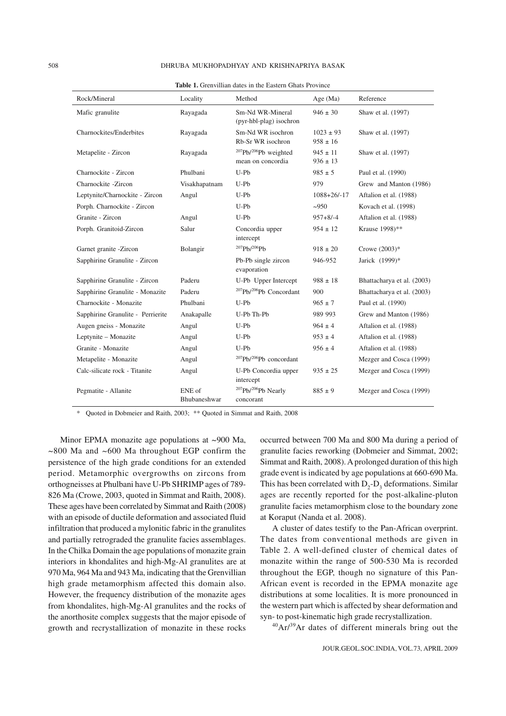## 508 DHRUBA MUKHOPADHYAY AND KRISHNAPRIYA BASAK

| Rock/Mineral                      | Locality               | Method                                            | Age $(Ma)$                    | Reference                  |
|-----------------------------------|------------------------|---------------------------------------------------|-------------------------------|----------------------------|
| Mafic granulite                   | Rayagada               | Sm-Nd WR-Mineral<br>(pyr-hbl-plag) isochron       | $946 \pm 30$                  | Shaw et al. (1997)         |
| Charnockites/Enderbites           | Rayagada               | Sm-Nd WR isochron<br>Rb-Sr WR isochron            | $1023 \pm 93$<br>$958 \pm 16$ | Shaw et al. (1997)         |
| Metapelite - Zircon               | Rayagada               | $^{207}Pb/^{206}Pb$ weighted<br>mean on concordia | $945 \pm 11$<br>$936 \pm 13$  | Shaw et al. (1997)         |
| Charnockite - Zircon              | Phulbani               | $U-Pb$                                            | $985 \pm 5$                   | Paul et al. (1990)         |
| Charnockite -Zircon               | Visakhapatnam          | $U-Pb$                                            | 979                           | Grew and Manton (1986)     |
| Leptynite/Charnockite - Zircon    | Angul                  | $U-Pb$                                            | $1088 + 26/ -17$              | Aftalion et al. (1988)     |
| Porph. Charnockite - Zircon       |                        | $U-Pb$                                            | ~100                          | Kovach et al. (1998)       |
| Granite - Zircon                  | Angul                  | $U-Pb$                                            | $957 + 8/-4$                  | Aftalion et al. (1988)     |
| Porph. Granitoid-Zircon           | Salur                  | Concordia upper<br>intercept                      | $954 \pm 12$                  | Krause 1998)**             |
| Garnet granite -Zircon            | Bolangir               | $^{207}Ph/^{206}Ph$                               | $918 \pm 20$                  | Crowe $(2003)*$            |
| Sapphirine Granulite - Zircon     |                        | Pb-Pb single zircon<br>evaporation                | 946-952                       | Jarick (1999)*             |
| Sapphirine Granulite - Zircon     | Paderu                 | U-Pb Upper Intercept                              | $988 \pm 18$                  | Bhattacharya et al. (2003) |
| Sapphirine Granulite - Monazite   | Paderu                 | <sup>207</sup> Pb/ <sup>206</sup> Pb Concordant   | 900                           | Bhattacharya et al. (2003) |
| Charnockite - Monazite            | Phulbani               | $U-Pb$                                            | $965 \pm 7$                   | Paul et al. (1990)         |
| Sapphirine Granulite - Perrierite | Anakapalle             | U-Pb Th-Pb                                        | 989 993                       | Grew and Manton (1986)     |
| Augen gneiss - Monazite           | Angul                  | $U-Pb$                                            | $964 \pm 4$                   | Aftalion et al. (1988)     |
| Leptynite - Monazite              | Angul                  | $U-Pb$                                            | $953 \pm 4$                   | Aftalion et al. (1988)     |
| Granite - Monazite                | Angul                  | $U-Pb$                                            | $956 \pm 4$                   | Aftalion et al. (1988)     |
| Metapelite - Monazite             | Angul                  | $207$ Pb/ $206$ Pb concordant                     |                               | Mezger and Cosca (1999)    |
| Calc-silicate rock - Titanite     | Angul                  | U-Pb Concordia upper<br>intercept                 | $935 \pm 25$                  | Mezger and Cosca (1999)    |
| Pegmatite - Allanite              | ENE of<br>Bhubaneshwar | $207$ Pb/ $206$ Pb Nearly<br>concorant            | $885 \pm 9$                   | Mezger and Cosca (1999)    |

| <b>Table 1.</b> Grenvillian dates in the Eastern Ghats Province |  |  |  |  |
|-----------------------------------------------------------------|--|--|--|--|
|-----------------------------------------------------------------|--|--|--|--|

\* Quoted in Dobmeier and Raith, 2003; \*\* Quoted in Simmat and Raith, 2008

Minor EPMA monazite age populations at ~900 Ma,  $\sim$ 800 Ma and  $\sim$ 600 Ma throughout EGP confirm the persistence of the high grade conditions for an extended period. Metamorphic overgrowths on zircons from orthogneisses at Phulbani have U-Pb SHRIMP ages of 789- 826 Ma (Crowe, 2003, quoted in Simmat and Raith, 2008). These ages have been correlated by Simmat and Raith (2008) with an episode of ductile deformation and associated fluid infiltration that produced a mylonitic fabric in the granulites and partially retrograded the granulite facies assemblages. In the Chilka Domain the age populations of monazite grain interiors in khondalites and high-Mg-Al granulites are at 970 Ma, 964 Ma and 943 Ma, indicating that the Grenvillian high grade metamorphism affected this domain also. However, the frequency distribution of the monazite ages from khondalites, high-Mg-Al granulites and the rocks of the anorthosite complex suggests that the major episode of growth and recrystallization of monazite in these rocks occurred between 700 Ma and 800 Ma during a period of granulite facies reworking (Dobmeier and Simmat, 2002; Simmat and Raith, 2008). A prolonged duration of this high grade event is indicated by age populations at 660-690 Ma. This has been correlated with  $D_2$ - $D_3$  deformations. Similar ages are recently reported for the post-alkaline-pluton granulite facies metamorphism close to the boundary zone at Koraput (Nanda et al. 2008).

A cluster of dates testify to the Pan-African overprint. The dates from conventional methods are given in Table 2. A well-defined cluster of chemical dates of monazite within the range of 500-530 Ma is recorded throughout the EGP, though no signature of this Pan-African event is recorded in the EPMA monazite age distributions at some localities. It is more pronounced in the western part which is affected by shear deformation and syn- to post-kinematic high grade recrystallization.

 $^{40}$ Ar/ $^{39}$ Ar dates of different minerals bring out the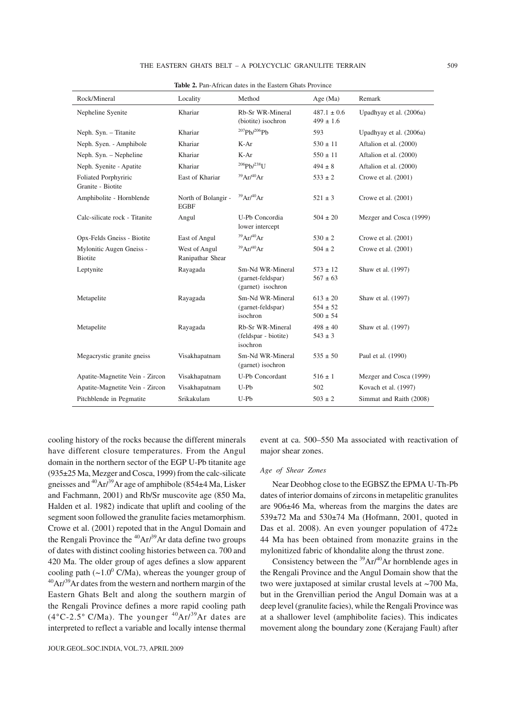| Rock/Mineral                               | Locality                           | Method                                                     | Age $(Ma)$                                   | Remark                  |
|--------------------------------------------|------------------------------------|------------------------------------------------------------|----------------------------------------------|-------------------------|
| Nepheline Syenite                          | Khariar                            | Rb-Sr WR-Mineral<br>(biotite) isochron                     | $487.1 \pm 0.6$<br>$499 \pm 1.6$             | Upadhyay et al. (2006a) |
| Neph. Syn. - Titanite                      | Khariar                            | $^{207}$ Ph/ $^{206}$ Ph                                   | 593                                          | Upadhyay et al. (2006a) |
| Neph. Syen. - Amphibole                    | Khariar                            | K-Ar                                                       | $530 \pm 11$                                 | Aftalion et al. (2000)  |
| Neph. Syn. - Nepheline                     | Khariar                            | $K-Ar$                                                     | $550 \pm 11$                                 | Aftalion et al. (2000)  |
| Neph. Syenite - Apatite                    | Khariar                            | 206 <sub>Ph</sub> /238 <sub>I J</sub>                      | $494 \pm 8$                                  | Aftalion et al. (2000)  |
| Foliated Porphyriric<br>Granite - Biotite  | East of Khariar                    | 39Ar/40Ar                                                  | $533 \pm 2$                                  | Crowe et al. (2001)     |
| Amphibolite - Hornblende                   | North of Bolangir -<br><b>EGBF</b> | 39Ar/40Ar                                                  | $521 \pm 3$                                  | Crowe et al. (2001)     |
| Calc-silicate rock - Titanite              | Angul                              | U-Pb Concordia<br>lower intercept                          | $504 \pm 20$                                 | Mezger and Cosca (1999) |
| Opx-Felds Gneiss - Biotite                 | East of Angul                      | 39Ar/40Ar                                                  | $530 \pm 2$                                  | Crowe et al. (2001)     |
| Mylonitic Augen Gneiss -<br><b>Biotite</b> | West of Angul<br>Ranipathar Shear  | 39Ar/40Ar                                                  | $504 \pm 2$                                  | Crowe et al. (2001)     |
| Leptynite                                  | Rayagada                           | Sm-Nd WR-Mineral<br>(garnet-feldspar)<br>(garnet) isochron | $573 \pm 12$<br>$567 \pm 63$                 | Shaw et al. (1997)      |
| Metapelite                                 | Rayagada                           | Sm-Nd WR-Mineral<br>(garnet-feldspar)<br>isochron          | $613 \pm 20$<br>$554 \pm 52$<br>$500 \pm 54$ | Shaw et al. (1997)      |
| Metapelite                                 | Rayagada                           | Rb-Sr WR-Mineral<br>(feldspar - biotite)<br>isochron       | $498 \pm 40$<br>$543 \pm 3$                  | Shaw et al. (1997)      |
| Megacrystic granite gneiss                 | Visakhapatnam                      | Sm-Nd WR-Mineral<br>(garnet) isochron                      | $535 \pm 50$                                 | Paul et al. (1990)      |
| Apatite-Magnetite Vein - Zircon            | Visakhapatnam                      | U-Pb Concordant                                            | $516 \pm 1$                                  | Mezger and Cosca (1999) |
| Apatite-Magnetite Vein - Zircon            | Visakhapatnam                      | $U-Pb$                                                     | 502                                          | Kovach et al. (1997)    |
| Pitchblende in Pegmatite                   | Srikakulam                         | $U-Pb$                                                     | $503 \pm 2$                                  | Simmat and Raith (2008) |

**Table 2.** Pan-African dates in the Eastern Ghats Province

cooling history of the rocks because the different minerals have different closure temperatures. From the Angul domain in the northern sector of the EGP U-Pb titanite age (935±25 Ma, Mezger and Cosca, 1999) from the calc-silicate gneisses and  $^{40}Ar^{39}Ar$  age of amphibole (854 $\pm$ 4 Ma, Lisker and Fachmann, 2001) and Rb/Sr muscovite age (850 Ma, Halden et al. 1982) indicate that uplift and cooling of the segment soon followed the granulite facies metamorphism. Crowe et al. (2001) repoted that in the Angul Domain and the Rengali Province the  $^{40}Ar/^{39}Ar$  data define two groups of dates with distinct cooling histories between ca. 700 and 420 Ma. The older group of ages defines a slow apparent cooling path  $({\sim}1.0^0$  C/Ma), whereas the younger group of  $^{40}$ Ar/ $^{39}$ Ar dates from the western and northern margin of the Eastern Ghats Belt and along the southern margin of the Rengali Province defines a more rapid cooling path  $(4^{\circ}C - 2.5^{\circ} C/Ma)$ . The younger  $^{40}Ar/^{39}Ar$  dates are interpreted to reflect a variable and locally intense thermal event at ca. 500–550 Ma associated with reactivation of major shear zones.

# *Age of Shear Zones*

Near Deobhog close to the EGBSZ the EPMA U-Th-Pb dates of interior domains of zircons in metapelitic granulites are 906±46 Ma, whereas from the margins the dates are 539±72 Ma and 530±74 Ma (Hofmann, 2001, quoted in Das et al. 2008). An even younger population of 472± 44 Ma has been obtained from monazite grains in the mylonitized fabric of khondalite along the thrust zone.

Consistency between the  $^{39}Ar^{40}Ar$  hornblende ages in the Rengali Province and the Angul Domain show that the two were juxtaposed at similar crustal levels at ~700 Ma, but in the Grenvillian period the Angul Domain was at a deep level (granulite facies), while the Rengali Province was at a shallower level (amphibolite facies). This indicates movement along the boundary zone (Kerajang Fault) after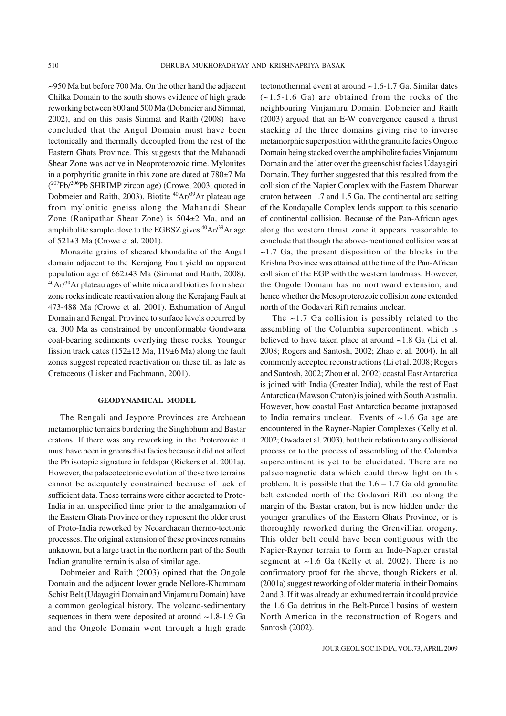~950 Ma but before 700 Ma. On the other hand the adjacent Chilka Domain to the south shows evidence of high grade reworking between 800 and 500 Ma (Dobmeier and Simmat, 2002), and on this basis Simmat and Raith (2008) have concluded that the Angul Domain must have been tectonically and thermally decoupled from the rest of the Eastern Ghats Province. This suggests that the Mahanadi Shear Zone was active in Neoproterozoic time. Mylonites in a porphyritic granite in this zone are dated at 780±7 Ma  $(^{207}Pb/^{206}Pb$  SHRIMP zircon age) (Crowe, 2003, quoted in Dobmeier and Raith, 2003). Biotite <sup>40</sup>Ar/<sup>39</sup>Ar plateau age from mylonitic gneiss along the Mahanadi Shear Zone (Ranipathar Shear Zone) is 504±2 Ma, and an amphibolite sample close to the EGBSZ gives  $^{40}Ar^{39}Ar$  age of 521±3 Ma (Crowe et al. 2001).

Monazite grains of sheared khondalite of the Angul domain adjacent to the Kerajang Fault yield an apparent population age of 662±43 Ma (Simmat and Raith, 2008).  $^{40}Ar^{39}Ar$  plateau ages of white mica and biotites from shear zone rocks indicate reactivation along the Kerajang Fault at 473-488 Ma (Crowe et al. 2001). Exhumation of Angul Domain and Rengali Province to surface levels occurred by ca. 300 Ma as constrained by unconformable Gondwana coal-bearing sediments overlying these rocks. Younger fission track dates (152 $\pm$ 12 Ma, 119 $\pm$ 6 Ma) along the fault zones suggest repeated reactivation on these till as late as Cretaceous (Lisker and Fachmann, 2001).

# **GEODYNAMICAL MODEL**

The Rengali and Jeypore Provinces are Archaean metamorphic terrains bordering the Singhbhum and Bastar cratons. If there was any reworking in the Proterozoic it must have been in greenschist facies because it did not affect the Pb isotopic signature in feldspar (Rickers et al. 2001a). However, the palaeotectonic evolution of these two terrains cannot be adequately constrained because of lack of sufficient data. These terrains were either accreted to Proto-India in an unspecified time prior to the amalgamation of the Eastern Ghats Province or they represent the older crust of Proto-India reworked by Neoarchaean thermo-tectonic processes. The original extension of these provinces remains unknown, but a large tract in the northern part of the South Indian granulite terrain is also of similar age.

Dobmeier and Raith (2003) opined that the Ongole Domain and the adjacent lower grade Nellore-Khammam Schist Belt (Udayagiri Domain and Vinjamuru Domain) have a common geological history. The volcano-sedimentary sequences in them were deposited at around  $\sim$ 1.8-1.9 Ga and the Ongole Domain went through a high grade

tectonothermal event at around  $\sim$  1.6-1.7 Ga. Similar dates  $(-1.5-1.6 \text{ Ga})$  are obtained from the rocks of the neighbouring Vinjamuru Domain. Dobmeier and Raith (2003) argued that an E-W convergence caused a thrust stacking of the three domains giving rise to inverse metamorphic superposition with the granulite facies Ongole Domain being stacked over the amphibolite facies Vinjamuru Domain and the latter over the greenschist facies Udayagiri Domain. They further suggested that this resulted from the collision of the Napier Complex with the Eastern Dharwar craton between 1.7 and 1.5 Ga. The continental arc setting of the Kondapalle Complex lends support to this scenario of continental collision. Because of the Pan-African ages along the western thrust zone it appears reasonable to conclude that though the above-mentioned collision was at  $\sim$ 1.7 Ga, the present disposition of the blocks in the Krishna Province was attained at the time of the Pan-African collision of the EGP with the western landmass. However, the Ongole Domain has no northward extension, and hence whether the Mesoproterozoic collision zone extended north of the Godavari Rift remains unclear.

The  $\sim$ 1.7 Ga collision is possibly related to the assembling of the Columbia supercontinent, which is believed to have taken place at around  $\sim$  1.8 Ga (Li et al. 2008; Rogers and Santosh, 2002; Zhao et al. 2004). In all commonly accepted reconstructions (Li et al. 2008; Rogers and Santosh, 2002; Zhou et al. 2002) coastal East Antarctica is joined with India (Greater India), while the rest of East Antarctica (Mawson Craton) is joined with South Australia. However, how coastal East Antarctica became juxtaposed to India remains unclear. Events of  $\sim$ 1.6 Ga age are encountered in the Rayner-Napier Complexes (Kelly et al. 2002; Owada et al. 2003), but their relation to any collisional process or to the process of assembling of the Columbia supercontinent is yet to be elucidated. There are no palaeomagnetic data which could throw light on this problem. It is possible that the  $1.6 - 1.7$  Ga old granulite belt extended north of the Godavari Rift too along the margin of the Bastar craton, but is now hidden under the younger granulites of the Eastern Ghats Province, or is thoroughly reworked during the Grenvillian orogeny. This older belt could have been contiguous with the Napier-Rayner terrain to form an Indo-Napier crustal segment at ~1.6 Ga (Kelly et al. 2002). There is no confirmatory proof for the above, though Rickers et al. (2001a) suggest reworking of older material in their Domains 2 and 3. If it was already an exhumed terrain it could provide the 1.6 Ga detritus in the Belt-Purcell basins of western North America in the reconstruction of Rogers and Santosh (2002).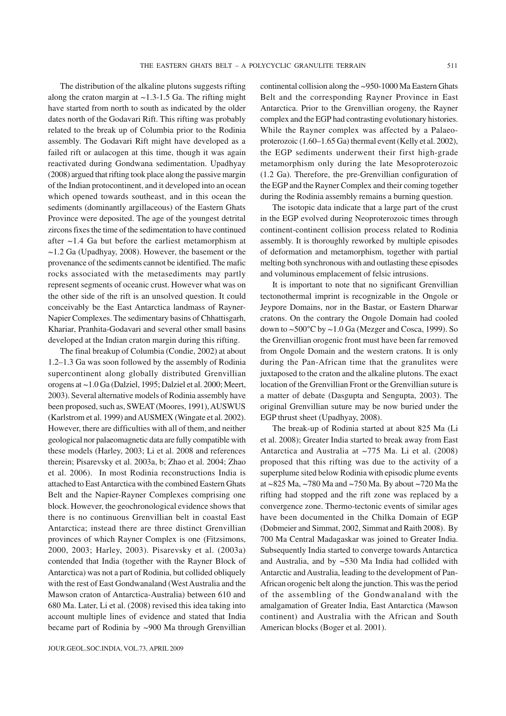The distribution of the alkaline plutons suggests rifting along the craton margin at  $\sim$ 1.3-1.5 Ga. The rifting might have started from north to south as indicated by the older dates north of the Godavari Rift. This rifting was probably related to the break up of Columbia prior to the Rodinia assembly. The Godavari Rift might have developed as a failed rift or aulacogen at this time, though it was again reactivated during Gondwana sedimentation. Upadhyay (2008) argued that rifting took place along the passive margin of the Indian protocontinent, and it developed into an ocean which opened towards southeast, and in this ocean the sediments (dominantly argillaceous) of the Eastern Ghats Province were deposited. The age of the youngest detrital zircons fixes the time of the sedimentation to have continued after  $\sim$ 1.4 Ga but before the earliest metamorphism at  $\sim$ 1.2 Ga (Upadhyay, 2008). However, the basement or the provenance of the sediments cannot be identified. The mafic rocks associated with the metasediments may partly represent segments of oceanic crust. However what was on the other side of the rift is an unsolved question. It could conceivably be the East Antarctica landmass of Rayner-Napier Complexes. The sedimentary basins of Chhattisgarh, Khariar, Pranhita-Godavari and several other small basins developed at the Indian craton margin during this rifting.

The final breakup of Columbia (Condie, 2002) at about 1.2–1.3 Ga was soon followed by the assembly of Rodinia supercontinent along globally distributed Grenvillian orogens at ~1.0 Ga (Dalziel, 1995; Dalziel et al. 2000; Meert, 2003). Several alternative models of Rodinia assembly have been proposed, such as, SWEAT (Moores, 1991), AUSWUS (Karlstrom et al. 1999) and AUSMEX (Wingate et al. 2002). However, there are difficulties with all of them, and neither geological nor palaeomagnetic data are fully compatible with these models (Harley, 2003; Li et al. 2008 and references therein; Pisarevsky et al. 2003a, b; Zhao et al. 2004; Zhao et al. 2006). In most Rodinia reconstructions India is attached to East Antarctica with the combined Eastern Ghats Belt and the Napier-Rayner Complexes comprising one block. However, the geochronological evidence shows that there is no continuous Grenvillian belt in coastal East Antarctica; instead there are three distinct Grenvillian provinces of which Rayner Complex is one (Fitzsimons, 2000, 2003; Harley, 2003). Pisarevsky et al. (2003a) contended that India (together with the Rayner Block of Antarctica) was not a part of Rodinia, but collided obliquely with the rest of East Gondwanaland (West Australia and the Mawson craton of Antarctica-Australia) between 610 and 680 Ma. Later, Li et al. (2008) revised this idea taking into account multiple lines of evidence and stated that India became part of Rodinia by ~900 Ma through Grenvillian continental collision along the ~950-1000 Ma Eastern Ghats Belt and the corresponding Rayner Province in East Antarctica. Prior to the Grenvillian orogeny, the Rayner complex and the EGP had contrasting evolutionary histories. While the Rayner complex was affected by a Palaeoproterozoic (1.60–1.65 Ga) thermal event (Kelly et al. 2002), the EGP sediments underwent their first high-grade metamorphism only during the late Mesoproterozoic (1.2 Ga). Therefore, the pre-Grenvillian configuration of the EGP and the Rayner Complex and their coming together during the Rodinia assembly remains a burning question.

The isotopic data indicate that a large part of the crust in the EGP evolved during Neoproterozoic times through continent-continent collision process related to Rodinia assembly. It is thoroughly reworked by multiple episodes of deformation and metamorphism, together with partial melting both synchronous with and outlasting these episodes and voluminous emplacement of felsic intrusions.

It is important to note that no significant Grenvillian tectonothermal imprint is recognizable in the Ongole or Jeypore Domains, nor in the Bastar, or Eastern Dharwar cratons. On the contrary the Ongole Domain had cooled down to  $\sim$  500 $^{\circ}$ C by  $\sim$  1.0 Ga (Mezger and Cosca, 1999). So the Grenvillian orogenic front must have been far removed from Ongole Domain and the western cratons. It is only during the Pan-African time that the granulites were juxtaposed to the craton and the alkaline plutons. The exact location of the Grenvillian Front or the Grenvillian suture is a matter of debate (Dasgupta and Sengupta, 2003). The original Grenvillian suture may be now buried under the EGP thrust sheet (Upadhyay, 2008).

The break-up of Rodinia started at about 825 Ma (Li et al. 2008); Greater India started to break away from East Antarctica and Australia at ~775 Ma. Li et al. (2008) proposed that this rifting was due to the activity of a superplume sited below Rodinia with episodic plume events at ~825 Ma, ~780 Ma and ~750 Ma. By about ~720 Ma the rifting had stopped and the rift zone was replaced by a convergence zone. Thermo-tectonic events of similar ages have been documented in the Chilka Domain of EGP (Dobmeier and Simmat, 2002, Simmat and Raith 2008). By 700 Ma Central Madagaskar was joined to Greater India. Subsequently India started to converge towards Antarctica and Australia, and by ~530 Ma India had collided with Antarctic and Australia, leading to the development of Pan-African orogenic belt along the junction. This was the period of the assembling of the Gondwanaland with the amalgamation of Greater India, East Antarctica (Mawson continent) and Australia with the African and South American blocks (Boger et al. 2001).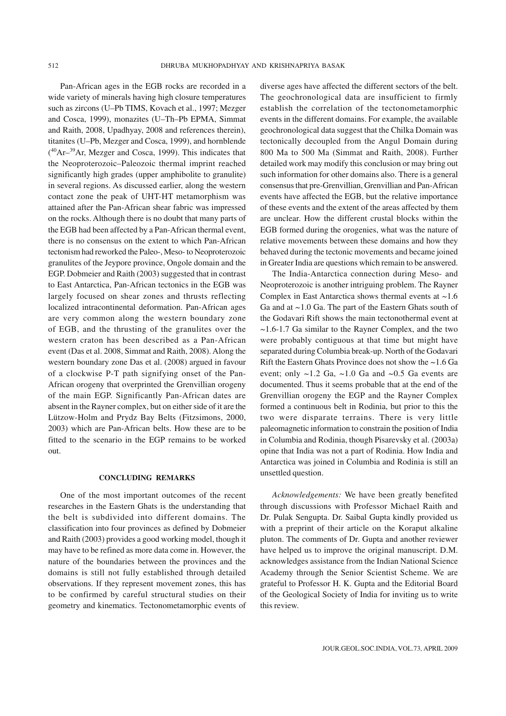Pan-African ages in the EGB rocks are recorded in a wide variety of minerals having high closure temperatures such as zircons (U–Pb TIMS, Kovach et al., 1997; Mezger and Cosca, 1999), monazites (U–Th–Pb EPMA, Simmat and Raith, 2008, Upadhyay, 2008 and references therein), titanites (U–Pb, Mezger and Cosca, 1999), and hornblende  $(^{40}Ar-^{39}Ar$ , Mezger and Cosca, 1999). This indicates that the Neoproterozoic–Paleozoic thermal imprint reached significantly high grades (upper amphibolite to granulite) in several regions. As discussed earlier, along the western contact zone the peak of UHT-HT metamorphism was attained after the Pan-African shear fabric was impressed on the rocks. Although there is no doubt that many parts of the EGB had been affected by a Pan-African thermal event, there is no consensus on the extent to which Pan-African tectonism had reworked the Paleo-, Meso- to Neoproterozoic granulites of the Jeypore province, Ongole domain and the EGP. Dobmeier and Raith (2003) suggested that in contrast to East Antarctica, Pan-African tectonics in the EGB was largely focused on shear zones and thrusts reflecting localized intracontinental deformation. Pan-African ages are very common along the western boundary zone of EGB, and the thrusting of the granulites over the western craton has been described as a Pan-African event (Das et al. 2008, Simmat and Raith, 2008). Along the western boundary zone Das et al. (2008) argued in favour of a clockwise P-T path signifying onset of the Pan-African orogeny that overprinted the Grenvillian orogeny of the main EGP. Significantly Pan-African dates are absent in the Rayner complex, but on either side of it are the Lützow-Holm and Prydz Bay Belts (Fitzsimons, 2000, 2003) which are Pan-African belts. How these are to be fitted to the scenario in the EGP remains to be worked out.

# **CONCLUDING REMARKS**

One of the most important outcomes of the recent researches in the Eastern Ghats is the understanding that the belt is subdivided into different domains. The classification into four provinces as defined by Dobmeier and Raith (2003) provides a good working model, though it may have to be refined as more data come in. However, the nature of the boundaries between the provinces and the domains is still not fully established through detailed observations. If they represent movement zones, this has to be confirmed by careful structural studies on their geometry and kinematics. Tectonometamorphic events of diverse ages have affected the different sectors of the belt. The geochronological data are insufficient to firmly establish the correlation of the tectonometamorphic events in the different domains. For example, the available geochronological data suggest that the Chilka Domain was tectonically decoupled from the Angul Domain during 800 Ma to 500 Ma (Simmat and Raith, 2008). Further detailed work may modify this conclusion or may bring out such information for other domains also. There is a general consensus that pre-Grenvillian, Grenvillian and Pan-African events have affected the EGB, but the relative importance of these events and the extent of the areas affected by them are unclear. How the different crustal blocks within the EGB formed during the orogenies, what was the nature of relative movements between these domains and how they behaved during the tectonic movements and became joined in Greater India are questions which remain to be answered.

The India-Antarctica connection during Meso- and Neoproterozoic is another intriguing problem. The Rayner Complex in East Antarctica shows thermal events at  $\sim$ 1.6 Ga and at ~1.0 Ga. The part of the Eastern Ghats south of the Godavari Rift shows the main tectonothermal event at  $\sim$ 1.6-1.7 Ga similar to the Rayner Complex, and the two were probably contiguous at that time but might have separated during Columbia break-up. North of the Godavari Rift the Eastern Ghats Province does not show the ~1.6 Ga event; only  $\sim$ 1.2 Ga,  $\sim$ 1.0 Ga and  $\sim$ 0.5 Ga events are documented. Thus it seems probable that at the end of the Grenvillian orogeny the EGP and the Rayner Complex formed a continuous belt in Rodinia, but prior to this the two were disparate terrains. There is very little paleomagnetic information to constrain the position of India in Columbia and Rodinia, though Pisarevsky et al. (2003a) opine that India was not a part of Rodinia. How India and Antarctica was joined in Columbia and Rodinia is still an unsettled question.

*Acknowledgements:* We have been greatly benefited through discussions with Professor Michael Raith and Dr. Pulak Sengupta. Dr. Saibal Gupta kindly provided us with a preprint of their article on the Koraput alkaline pluton. The comments of Dr. Gupta and another reviewer have helped us to improve the original manuscript. D.M. acknowledges assistance from the Indian National Science Academy through the Senior Scientist Scheme. We are grateful to Professor H. K. Gupta and the Editorial Board of the Geological Society of India for inviting us to write this review.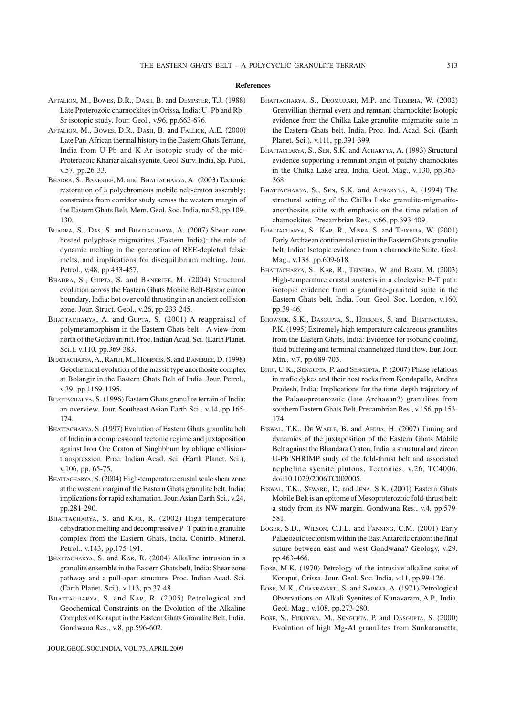#### **References**

- AFTALION, M., BOWES, D.R., DASH, B. and DEMPSTER, T.J. (1988) Late Proterozoic charnockites in Orissa, India: U–Pb and Rb– Sr isotopic study. Jour. Geol., v.96, pp.663-676.
- AFTALION, M., BOWES, D.R., DASH, B. and FALLICK, A.E. (2000) Late Pan-African thermal history in the Eastern Ghats Terrane, India from U-Pb and K-Ar isotopic study of the mid-Proterozoic Khariar alkali syenite. Geol. Surv. India, Sp. Publ., v.57, pp.26-33.
- BHADRA, S., BANERJEE, M. and BHATTACHARYA, A. (2003) Tectonic restoration of a polychromous mobile nelt-craton assembly: constraints from corridor study across the western margin of the Eastern Ghats Belt. Mem. Geol. Soc. India, no.52, pp.109- 130.
- BHADRA, S., DAS, S. and BHATTACHARYA, A. (2007) Shear zone hosted polyphase migmatites (Eastern India): the role of dynamic melting in the generation of REE-depleted felsic melts, and implications for disequilibrium melting. Jour. Petrol., v.48, pp.433-457.
- BHADRA, S., GUPTA, S. and BANERJEE, M. (2004) Structural evolution across the Eastern Ghats Mobile Belt-Bastar craton boundary, India: hot over cold thrusting in an ancient collision zone. Jour. Struct. Geol., v.26, pp.233-245.
- BHATTACHARYA, A. and GUPTA, S. (2001) A reappraisal of polymetamorphism in the Eastern Ghats belt – A view from north of the Godavari rift. Proc. Indian Acad. Sci. (Earth Planet. Sci.), v.110, pp.369-383.
- BHATTACHARYA, A., RAITH, M., HOERNES, S. and BANERJEE, D. (1998) Geochemical evolution of the massif type anorthosite complex at Bolangir in the Eastern Ghats Belt of India. Jour. Petrol., v.39, pp.1169-1195.
- BHATTACHARYA, S. (1996) Eastern Ghats granulite terrain of India: an overview. Jour. Southeast Asian Earth Sci., v.14, pp.165- 174.
- BHATTACHARYA, S. (1997) Evolution of Eastern Ghats granulite belt of India in a compressional tectonic regime and juxtaposition against Iron Ore Craton of Singhbhum by oblique collisiontranspression. Proc. Indian Acad. Sci. (Earth Planet. Sci.), v.106, pp. 65-75.
- BHATTACHARYA, S. (2004) High-temperature crustal scale shear zone at the western margin of the Eastern Ghats granulite belt, India: implications for rapid exhumation. Jour. Asian Earth Sci., v.24, pp.281-290.
- BHATTACHARYA, S. and KAR, R. (2002) High-temperature dehydration melting and decompressive P–T path in a granulite complex from the Eastern Ghats, India. Contrib. Mineral. Petrol., v.143, pp.175-191.
- BHATTACHARYA, S. and KAR, R. (2004) Alkaline intrusion in a granulite ensemble in the Eastern Ghats belt, India: Shear zone pathway and a pull-apart structure. Proc. Indian Acad. Sci. (Earth Planet. Sci.), v.113, pp.37-48.
- BHATTACHARYA, S. and KAR, R. (2005) Petrological and Geochemical Constraints on the Evolution of the Alkaline Complex of Koraput in the Eastern Ghats Granulite Belt, India. Gondwana Res., v.8, pp.596-602.
- BHATTACHARYA, S., DEOMURARI, M.P. and TEIXERIA, W. (2002) Grenvillian thermal event and remnant charnockite: Isotopic evidence from the Chilka Lake granulite–migmatite suite in the Eastern Ghats belt. India. Proc. Ind. Acad. Sci. (Earth Planet. Sci.), v.111, pp.391-399.
- BHATTACHARYA, S., SEN, S.K. and ACHARYYA, A. (1993) Structural evidence supporting a remnant origin of patchy charnockites in the Chilka Lake area, India. Geol. Mag., v.130, pp.363- 368.
- BHATTACHARYA, S., SEN, S.K. and ACHARYYA, A. (1994) The structural setting of the Chilka Lake granulite-migmatiteanorthosite suite with emphasis on the time relation of charnockites. Precambrian Res., v.66, pp.393-409.
- BHATTACHARYA, S., KAR, R., MISRA, S. and TEIXEIRA, W. (2001) Early Archaean continental crust in the Eastern Ghats granulite belt, India: Isotopic evidence from a charnockite Suite. Geol. Mag., v.138, pp.609-618.
- BHATTACHARYA, S., KAR, R., TEIXEIRA, W. and BASEI, M. (2003) High-temperature crustal anatexis in a clockwise P–T path: isotopic evidence from a granulite-granitoid suite in the Eastern Ghats belt, India. Jour. Geol. Soc. London, v.160, pp.39-46.
- BHOWMIK, S.K., DASGUPTA, S., HOERNES, S. and BHATTACHARYA, P.K. (1995) Extremely high temperature calcareous granulites from the Eastern Ghats, India: Evidence for isobaric cooling, fluid buffering and terminal channelized fluid flow. Eur. Jour. Min., v.7, pp.689-703.
- BHUI, U.K., SENGUPTA, P. and SENGUPTA, P. (2007) Phase relations in mafic dykes and their host rocks from Kondapalle, Andhra Pradesh, India: Implications for the time–depth trajectory of the Palaeoproterozoic (late Archaean?) granulites from southern Eastern Ghats Belt. Precambrian Res., v.156, pp.153- 174.
- BISWAL, T.K., DE WAELE, B. and AHUJA, H. (2007) Timing and dynamics of the juxtaposition of the Eastern Ghats Mobile Belt against the Bhandara Craton, India: a structural and zircon U-Pb SHRIMP study of the fold-thrust belt and associated nepheline syenite plutons. Tectonics, v.26, TC4006, doi:10.1029/2006TC002005.
- BISWAL, T.K., SEWARD, D. and JENA, S.K. (2001) Eastern Ghats Mobile Belt is an epitome of Mesoproterozoic fold-thrust belt: a study from its NW margin. Gondwana Res., v.4, pp.579- 581.
- BOGER, S.D., WILSON, C.J.L. and FANNING, C.M. (2001) Early Palaeozoic tectonism within the East Antarctic craton: the final suture between east and west Gondwana? Geology, v.29, pp.463-466.
- Bose, M.K. (1970) Petrology of the intrusive alkaline suite of Koraput, Orissa. Jour. Geol. Soc. India, v.11, pp.99-126.
- BOSE, M.K., CHAKRAVARTI, S. and SARKAR, A. (1971) Petrological Observations on Alkali Syenites of Kunavaram, A.P., India. Geol. Mag., v.108, pp.273-280.
- BOSE, S., FUKUOKA, M., SENGUPTA, P. and DASGUPTA, S. (2000) Evolution of high Mg-Al granulites from Sunkarametta,

JOUR.GEOL.SOC.INDIA, VOL.73, APRIL 2009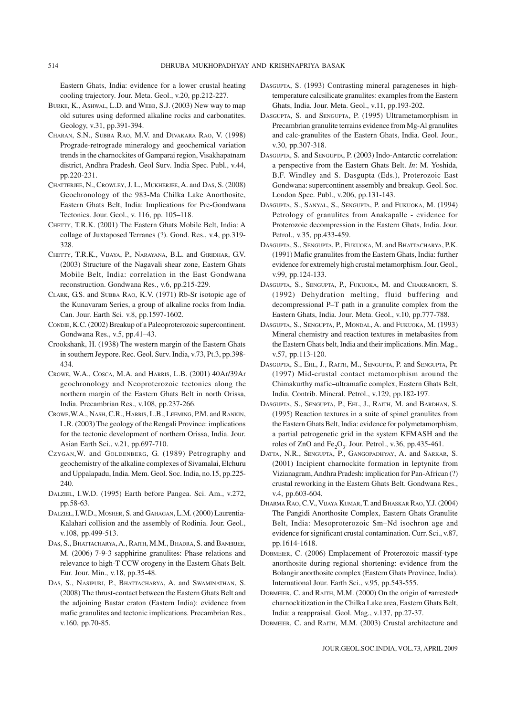Eastern Ghats, India: evidence for a lower crustal heating cooling trajectory. Jour. Meta. Geol., v.20, pp.212-227.

- BURKE, K., ASHWAL, L.D. and WEBB, S.J. (2003) New way to map old sutures using deformed alkaline rocks and carbonatites. Geology, v.31, pp.391-394.
- CHARAN, S.N., SUBBA RAO, M.V. and DIVAKARA RAO, V. (1998) Prograde-retrograde mineralogy and geochemical variation trends in the charnockites of Gamparai region, Visakhapatnam district, Andhra Pradesh. Geol Surv. India Spec. Publ., v.44, pp.220-231.
- CHATTERJEE, N., CROWLEY, J. L., MUKHERJEE, A. and DAS, S. (2008) Geochronology of the 983-Ma Chilka Lake Anorthosite, Eastern Ghats Belt, India: Implications for Pre-Gondwana Tectonics. Jour. Geol., v. 116, pp. 105–118.
- CHETTY, T.R.K. (2001) The Eastern Ghats Mobile Belt, India: A collage of Juxtaposed Terranes (?). Gond. Res., v.4, pp.319- 328.
- CHETTY, T.R.K., VIJAYA, P., NARAYANA, B.L. and GIRIDHAR, G.V. (2003) Structure of the Nagavali shear zone, Eastern Ghats Mobile Belt, India: correlation in the East Gondwana reconstruction. Gondwana Res., v.6, pp.215-229.
- CLARK, G.S. and SUBBA RAO, K.V. (1971) Rb-Sr isotopic age of the Kunavaram Series, a group of alkaline rocks from India. Can. Jour. Earth Sci. v.8, pp.1597-1602.
- CONDIE, K.C. (2002) Breakup of a Paleoproterozoic supercontinent. Gondwana Res., v.5, pp.41–43.
- Crookshank, H. (1938) The western margin of the Eastern Ghats in southern Jeypore. Rec. Geol. Surv. India, v.73, Pt.3, pp.398- 434.
- CROWE, W.A., COSCA, M.A. and HARRIS, L.B. (2001) 40Ar/39Ar geochronology and Neoproterozoic tectonics along the northern margin of the Eastern Ghats Belt in north Orissa, India. Precambrian Res., v.108, pp.237-266.
- CROWE,W.A., NASH, C.R., HARRIS, L.B., LEEMING, P.M. and RANKIN, L.R. (2003) The geology of the Rengali Province: implications for the tectonic development of northern Orissa, India. Jour. Asian Earth Sci., v.21, pp.697-710.
- CZYGAN,W. and GOLDENBERG, G. (1989) Petrography and geochemistry of the alkaline complexes of Sivamalai, Elchuru and Uppalapadu, India. Mem. Geol. Soc. India, no.15, pp.225- 240.
- DALZIEL, I.W.D. (1995) Earth before Pangea. Sci. Am., v.272, pp.58-63.
- DALZIEL, I.W.D., MOSHER, S. and GAHAGAN, L.M. (2000) Laurentia-Kalahari collision and the assembly of Rodinia. Jour. Geol., v.108, pp.499-513.
- DAS, S., BHATTACHARYA, A., RAITH, M.M., BHADRA, S. and BANERJEE, M. (2006) 7-9-3 sapphirine granulites: Phase relations and relevance to high-T CCW orogeny in the Eastern Ghats Belt. Eur. Jour. Min., v.18, pp.35-48.
- DAS, S., NASIPURI, P., BHATTACHARYA, A. and SWAMINATHAN, S. (2008) The thrust-contact between the Eastern Ghats Belt and the adjoining Bastar craton (Eastern India): evidence from mafic granulites and tectonic implications. Precambrian Res., v.160, pp.70-85.
- DASGUPTA, S. (1993) Contrasting mineral parageneses in hightemperature calcsilicate granulites: examples from the Eastern Ghats, India. Jour. Meta. Geol., v.11, pp.193-202.
- DASGUPTA, S. and SENGUPTA, P. (1995) Ultrametamorphism in Precambrian granulite terrains evidence from Mg-Al granulites and calc-granulites of the Eastern Ghats, India. Geol. Jour., v.30, pp.307-318.
- DASGUPTA, S. and SENGUPTA, P. (2003) Indo-Antarctic correlation: a perspective from the Eastern Ghats Belt. *In*: M. Yoshida, B.F. Windley and S. Dasgupta (Eds.), Proterozoic East Gondwana: supercontinent assembly and breakup. Geol. Soc. London Spec. Publ., v.206, pp.131-143.
- DASGUPTA, S., SANYAL, S., SENGUPTA, P. and FUKUOKA, M. (1994) Petrology of granulites from Anakapalle - evidence for Proterozoic decompression in the Eastern Ghats, India. Jour. Petrol., v.35, pp.433-459.
- DASGUPTA, S., SENGUPTA, P., FUKUOKA, M. and BHATTACHARYA, P.K. (1991) Mafic granulites from the Eastern Ghats, India: further evidence for extremely high crustal metamorphism. Jour. Geol., v.99, pp.124-133.
- DASGUPTA, S., SENGUPTA, P., FUKUOKA, M. and CHAKRABORTI, S. (1992) Dehydration melting, fluid buffering and decompressional P–T path in a granulite complex from the Eastern Ghats, India. Jour. Meta. Geol., v.10, pp.777-788.
- DASGUPTA, S., SENGUPTA, P., MONDAL, A. and FUKUOKA, M. (1993) Mineral chemistry and reaction textures in metabasites from the Eastern Ghats belt, India and their implications. Min. Mag., v.57, pp.113-120.
- DASGUPTA, S., EHL, J., RAITH, M., SENGUPTA, P. and SENGUPTA, Pr. (1997) Mid-crustal contact metamorphism around the Chimakurthy mafic–ultramafic complex, Eastern Ghats Belt, India. Contrib. Mineral. Petrol., v.129, pp.182-197.
- DASGUPTA, S., SENGUPTA, P., EHL, J., RAITH, M. and BARDHAN, S. (1995) Reaction textures in a suite of spinel granulites from the Eastern Ghats Belt, India: evidence for polymetamorphism, a partial petrogenetic grid in the system KFMASH and the roles of  $ZnO$  and  $Fe<sub>2</sub>O<sub>2</sub>$ . Jour. Petrol., v.36, pp.435-461.
- DATTA, N.R., SENGUPTA, P., GANGOPADHYAY, A. and SARKAR, S. (2001) Incipient charnockite formation in leptynite from Vizianagram, Andhra Pradesh: implication for Pan-African (?) crustal reworking in the Eastern Ghats Belt. Gondwana Res., v.4, pp.603-604.
- DHARMA RAO, C.V., VIJAYA KUMAR, T. and BHASKAR RAO, Y.J. (2004) The Pangidi Anorthosite Complex, Eastern Ghats Granulite Belt, India: Mesoproterozoic Sm–Nd isochron age and evidence for significant crustal contamination. Curr. Sci., v.87, pp.1614-1618.
- DOBMEIER, C. (2006) Emplacement of Proterozoic massif-type anorthosite during regional shortening: evidence from the Bolangir anorthosite complex (Eastern Ghats Province, India). International Jour. Earth Sci., v.95, pp.543-555.
- DOBMEIER, C. and RAITH, M.M. (2000) On the origin of •arrested• charnockitization in the Chilka Lake area, Eastern Ghats Belt, India: a reappraisal. Geol. Mag., v.137, pp.27-37.
- DOBMEIER, C. and RAITH, M.M. (2003) Crustal architecture and

JOUR.GEOL.SOC.INDIA, VOL.73, APRIL 2009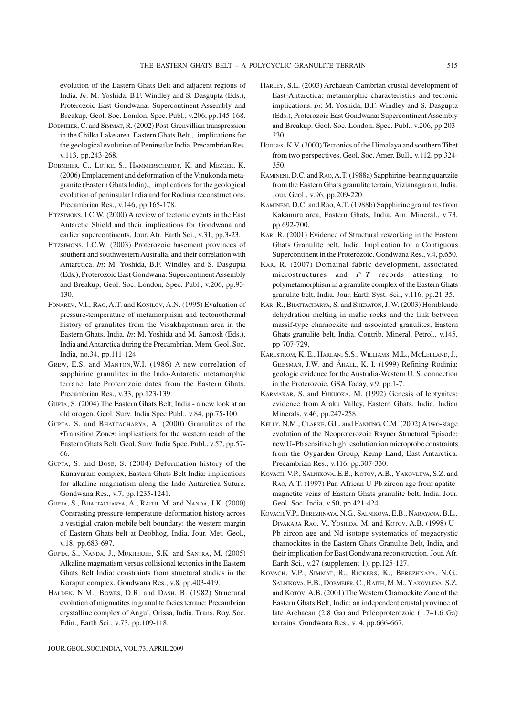evolution of the Eastern Ghats Belt and adjacent regions of India. *In*: M. Yoshida, B.F. Windley and S. Dasgupta (Eds.), Proterozoic East Gondwana: Supercontinent Assembly and Breakup, Geol. Soc. London, Spec. Publ., v.206, pp.145-168.

- DOBMEIER, C. and SIMMAT, R. (2002) Post-Grenvillian transpression in the Chilka Lake area, Eastern Ghats Belt,, implications for the geological evolution of Peninsular India. Precambrian Res. v.113, pp.243-268.
- DOBMEIER, C., LÜTKE, S., HAMMERSCHMIDT, K. and MEZGER, K. (2006) Emplacement and deformation of the Vinukonda metagranite (Eastern Ghats India), implications for the geological evolution of peninsular India and for Rodinia reconstructions. Precambrian Res., v.146, pp.165-178.
- FITZSIMONS, I.C.W. (2000) A review of tectonic events in the East Antarctic Shield and their implications for Gondwana and earlier supercontinents. Jour. Afr. Earth Sci., v.31, pp.3-23.
- FITZSIMONS, I.C.W. (2003) Proterozoic basement provinces of southern and southwestern Australia, and their correlation with Antarctica. *In*: M. Yoshida, B.F. Windley and S. Dasgupta (Eds.), Proterozoic East Gondwana: Supercontinent Assembly and Breakup, Geol. Soc. London, Spec. Publ., v.206, pp.93- 130.
- FONAREV, V.I., RAO, A.T. and KONILOV, A.N. (1995) Evaluation of pressure-temperature of metamorphism and tectonothermal history of granulites from the Visakhapatnam area in the Eastern Ghats, India. *In*: M. Yoshida and M. Santosh (Eds.), India and Antarctica during the Precambrian, Mem. Geol. Soc. India, no.34, pp.111-124.
- GREW, E.S. and MANTON,W.I. (1986) A new correlation of sapphirine granulites in the Indo-Antarctic metamorphic terrane: late Proterozoic dates from the Eastern Ghats. Precambrian Res., v.33, pp.123-139.
- GUPTA, S. (2004) The Eastern Ghats Belt, India a new look at an old orogen. Geol. Surv. India Spec Publ., v.84, pp.75-100.
- GUPTA, S. and BHATTACHARYA, A. (2000) Granulites of the 'Transition Zone': implications for the western reach of the Eastern Ghats Belt. Geol. Surv. India Spec. Publ., v.57, pp.57- 66.
- GUPTA, S. and BOSE, S. (2004) Deformation history of the Kunavaram complex, Eastern Ghats Belt India: implications for alkaline magmatism along the Indo-Antarctica Suture. Gondwana Res., v.7, pp.1235-1241.
- GUPTA, S., BHATTACHARYA, A., RAITH, M. and NANDA, J.K. (2000) Contrasting pressure-temperature-deformation history across a vestigial craton-mobile belt boundary: the western margin of Eastern Ghats belt at Deobhog, India. Jour. Met. Geol., v.18, pp.683-697.
- GUPTA, S., NANDA, J., MUKHERJEE, S.K. and SANTRA, M. (2005) Alkaline magmatism versus collisional tectonics in the Eastern Ghats Belt India: constraints from structural studies in the Koraput complex. Gondwana Res., v.8, pp.403-419.
- HALDEN, N.M., BOWES, D.R. and DASH, B. (1982) Structural evolution of migmatites in granulite facies terrane: Precambrian crystalline complex of Angul, Orissa, India. Trans. Roy. Soc. Edin., Earth Sci., v.73, pp.109-118.
- HARLEY, S.L. (2003) Archaean-Cambrian crustal development of East-Antarctica: metamorphic characteristics and tectonic implications. *In*: M. Yoshida, B.F. Windley and S. Dasgupta (Eds.), Proterozoic East Gondwana: Supercontinent Assembly and Breakup. Geol. Soc. London, Spec. Publ., v.206, pp.203- 230.
- HODGES, K.V. (2000) Tectonics of the Himalaya and southern Tibet from two perspectives. Geol. Soc. Amer. Bull., v.112, pp.324- 350.
- KAMINENI, D.C. and RAO, A.T. (1988a) Sapphirine-bearing quartzite from the Eastern Ghats granulite terrain, Vizianagaram, India. Jour. Geol., v.96, pp.209-220.
- KAMINENI, D.C. and Rao, A.T. (1988b) Sapphirine granulites from Kakanuru area, Eastern Ghats, India. Am. Mineral., v.73, pp.692-700.
- KAR, R. (2001) Evidence of Structural reworking in the Eastern Ghats Granulite belt, India: Implication for a Contiguous Supercontinent in the Proterozoic. Gondwana Res., v.4, p.650.
- KAR, R. (2007) Domainal fabric development, associated microstructures and *P*–*T* records attesting to polymetamorphism in a granulite complex of the Eastern Ghats granulite belt, India. Jour. Earth Syst. Sci., v.116, pp.21-35.
- KAR, R., BHATTACHARYA, S. and SHERATON, J. W. (2003) Hornblende dehydration melting in mafic rocks and the link between massif-type charnockite and associated granulites, Eastern Ghats granulite belt, India. Contrib. Mineral. Petrol., v.145, pp 707-729.
- KARLSTROM, K. E., HARLAN, S.S., WILLIAMS, M.L., MCLELLAND, J., GEISSMAN, J.W. and ÅHALL, K. I. (1999) Refining Rodinia: geologic evidence for the Australia-Western U. S. connection in the Proterozoic. GSA Today, v.9, pp.1-7.
- KARMAKAR, S. and FUKUOKA, M. (1992) Genesis of leptynites: evidence from Araku Valley, Eastern Ghats, India. Indian Minerals, v.46, pp.247-258.
- KELLY, N.M., CLARKE, G.L. and FANNING, C.M. (2002) A two-stage evolution of the Neoproterozoic Rayner Structural Episode: new U–Pb sensitive high resolution ion microprobe constraints from the Oygarden Group, Kemp Land, East Antarctica. Precambrian Res., v.116, pp.307-330.
- KOVACH, V.P., SALNIKOVA, E.B., KOTOV, A.B., YAKOVLEVA, S.Z. and RAO, A.T. (1997) Pan-African U-Pb zircon age from apatitemagnetite veins of Eastern Ghats granulite belt, India. Jour. Geol. Soc. India, v.50, pp.421-424.
- KOVACH,V.P., BEREZHNAYA, N.G., SALNIKOVA, E.B., NARAYANA, B.L., DIVAKARA RAO, V., YOSHIDA, M. and KOTOV, A.B. (1998) U– Pb zircon age and Nd isotope systematics of megacrystic charnockites in the Eastern Ghats Granulite Belt, India, and their implication for East Gondwana reconstruction. Jour. Afr. Earth Sci., v.27 (supplement 1), pp.125-127.
- KOVACH, V.P., SIMMAT, R., RICKERS, K., BEREZHNAYA, N.G., SALNIKOVA, E.B., DOBMEIER, C., RAITH, M.M., YAKOVLEVA, S.Z. and KOTOV, A.B. (2001) The Western Charnockite Zone of the Eastern Ghats Belt, India; an independent crustal province of late Archaean (2.8 Ga) and Paleoproterozoic (1.7–1.6 Ga) terrains. Gondwana Res., v. 4, pp.666-667.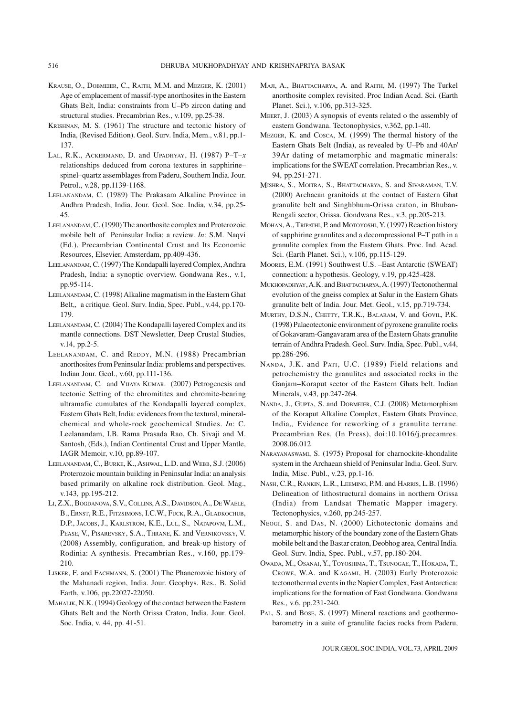- KRAUSE, O., DOBMEIER, C., RAITH, M.M. and MEZGER, K. (2001) Age of emplacement of massif-type anorthosites in the Eastern Ghats Belt, India: constraints from U–Pb zircon dating and structural studies. Precambrian Res., v.109, pp.25-38.
- KRISHNAN, M. S. (1961) The structure and tectonic history of India, (Revised Edition). Geol. Surv. India, Mem., v.81, pp.1- 137.
- LAL, R.K., ACKERMAND, D. and UPADHYAY, H. (1987) P–T–*x* relationships deduced from corona textures in sapphirine– spinel–quartz assemblages from Paderu, Southern India. Jour. Petrol., v.28, pp.1139-1168.
- LEELANANDAM, C. (1989) The Prakasam Alkaline Province in Andhra Pradesh, India. Jour. Geol. Soc. India, v.34, pp.25- 45.
- LEELANANDAM, C. (1990) The anorthosite complex and Proterozoic mobile belt of Peninsular India: a review. *In*: S.M. Naqvi (Ed.), Precambrian Continental Crust and Its Economic Resources, Elsevier, Amsterdam, pp.409-436.
- LEELANANDAM, C. (1997) The Kondapalli layered Complex, Andhra Pradesh, India: a synoptic overview. Gondwana Res., v.1, pp.95-114.
- LEELANANDAM, C. (1998) Alkaline magmatism in the Eastern Ghat Belt,, a critique. Geol. Surv. India, Spec. Publ., v.44, pp.170-179.
- LEELANANDAM, C. (2004) The Kondapalli layered Complex and its mantle connections. DST Newsletter, Deep Crustal Studies, v.14, pp.2-5.
- LEELANANDAM, C. and REDDY, M.N. (1988) Precambrian anorthosites from Peninsular India: problems and perspectives. Indian Jour. Geol., v.60, pp.111-136.
- LEELANANDAM, C. and VIJAYA KUMAR. (2007) Petrogenesis and tectonic Setting of the chromitites and chromite-bearing ultramafic cumulates of the Kondapalli layered complex, Eastern Ghats Belt, India: evidences from the textural, mineralchemical and whole-rock geochemical Studies. *In*: C. Leelanandam, I.B. Rama Prasada Rao, Ch. Sivaji and M. Santosh, (Eds.), Indian Continental Crust and Upper Mantle, IAGR Memoir, v.10, pp.89-107.
- LEELANANDAM, C., BURKE, K., ASHWAL, L.D. and WEBB, S.J. (2006) Proterozoic mountain building in Peninsular India: an analysis based primarily on alkaline rock distribution. Geol. Mag., v.143, pp.195-212.
- LI, Z.X., BOGDANOVA, S.V., COLLINS, A.S., DAVIDSON, A., DE WAELE, B., ERNST, R.E., FITZSIMONS, I.C.W., FUCK, R.A., GLADKOCHUB, D.P., JACOBS, J., KARLSTROM, K.E., LUL, S., NATAPOVM, L.M., PEASE, V., PISAREVSKY, S.A., THRANE, K. and VERNIKOVSKY, V. (2008) Assembly, configuration, and break-up history of Rodinia: A synthesis. Precambrian Res., v.160, pp.179- 210.
- LISKER, F. and FACHMANN, S. (2001) The Phanerozoic history of the Mahanadi region, India. Jour. Geophys. Res., B. Solid Earth, v.106, pp.22027-22050.
- MAHALIK, N.K. (1994) Geology of the contact between the Eastern Ghats Belt and the North Orissa Craton, India. Jour. Geol. Soc. India, v. 44, pp. 41-51.
- MAJI, A., BHATTACHARYA, A. and RAITH, M. (1997) The Turkel anorthosite complex revisited. Proc Indian Acad. Sci. (Earth Planet. Sci.), v.106, pp.313-325.
- MEERT, J. (2003) A synopsis of events related o the assembly of eastern Gondwana. Tectonophysics, v.362, pp.1-40.
- MEZGER, K. and COSCA, M. (1999) The thermal history of the Eastern Ghats Belt (India), as revealed by U–Pb and 40Ar/ 39Ar dating of metamorphic and magmatic minerals: implications for the SWEAT correlation. Precambrian Res., v. 94, pp.251-271.
- MISHRA, S., MOITRA, S., BHATTACHARYA, S. and SIVARAMAN, T.V. (2000) Archaean granitoids at the contact of Eastern Ghat granulite belt and Singhbhum-Orissa craton, in Bhuban-Rengali sector, Orissa. Gondwana Res., v.3, pp.205-213.
- MOHAN, A., TRIPATHI, P. and MOTOYOSHI, Y. (1997) Reaction history of sapphirine granulites and a decompressional P–T path in a granulite complex from the Eastern Ghats. Proc. Ind. Acad. Sci. (Earth Planet. Sci.), v.106, pp.115-129.
- MOORES, E.M. (1991) Southwest U.S. –East Antarctic (SWEAT) connection: a hypothesis. Geology, v.19, pp.425-428.
- MUKHOPADHYAY, A.K. and BHATTACHARYA, A. (1997) Tectonothermal evolution of the gneiss complex at Salur in the Eastern Ghats granulite belt of India. Jour. Met. Geol., v.15, pp.719-734.
- MURTHY, D.S.N., CHETTY, T.R.K., BALARAM, V. and GOVIL, P.K. (1998) Palaeotectonic environment of pyroxene granulite rocks of Gokavaram-Gangavaram area of the Eastern Ghats granulite terrain of Andhra Pradesh. Geol. Surv. India, Spec. Publ., v.44, pp.286-296.
- NANDA, J.K. and PATI, U.C. (1989) Field relations and petrochemistry the granulites and associated rocks in the Ganjam–Koraput sector of the Eastern Ghats belt. Indian Minerals, v.43, pp.247-264.
- NANDA, J., GUPTA, S. and DOBMEIER, C.J. (2008) Metamorphism of the Koraput Alkaline Complex, Eastern Ghats Province, India,, Evidence for reworking of a granulite terrane. Precambrian Res. (In Press), doi:10.1016/j.precamres. 2008.06.012
- NARAYANASWAMI, S. (1975) Proposal for charnockite-khondalite system in the Archaean shield of Peninsular India. Geol. Surv. India, Misc. Publ., v.23, pp.1-16.
- NASH, C.R., RANKIN, L.R., LEEMING, P.M. and HARRIS, L.B. (1996) Delineation of lithostructural domains in northern Orissa (India) from Landsat Thematic Mapper imagery. Tectonophysics, v.260, pp.245-257.
- NEOGI, S. and DAS, N. (2000) Lithotectonic domains and metamorphic history of the boundary zone of the Eastern Ghats mobile belt and the Bastar craton, Deobhog area, Central India. Geol. Surv. India, Spec. Publ., v.57, pp.180-204.
- OWADA, M., OSANAI, Y., TOYOSHIMA, T., TSUNOGAE, T., HOKADA, T., CROWE, W.A. and KAGAMI, H. (2003) Early Proterozoic tectonothermal events in the Napier Complex, East Antarctica: implications for the formation of East Gondwana. Gondwana Res., v.6, pp.231-240.
- PAL, S. and Bose, S. (1997) Mineral reactions and geothermobarometry in a suite of granulite facies rocks from Paderu,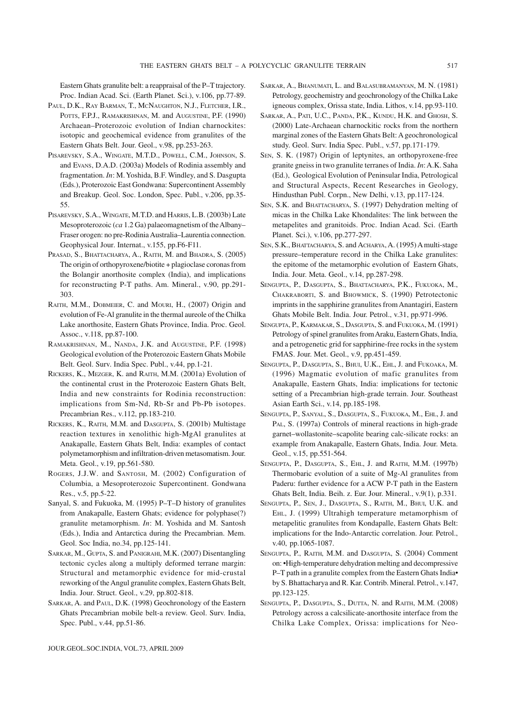Eastern Ghats granulite belt: a reappraisal of the P–T trajectory. Proc. Indian Acad. Sci. (Earth Planet. Sci.), v.106, pp.77-89.

- PAUL, D.K., RAY BARMAN, T., MCNAUGHTON, N.J., FLETCHER, I.R., POTTS, F.P.J., RAMAKRISHNAN, M. and AUGUSTINE, P.F. (1990) Archaean–Proterozoic evolution of Indian charnockites: isotopic and geochemical evidence from granulites of the Eastern Ghats Belt. Jour. Geol., v.98, pp.253-263.
- PISAREVSKY, S.A., WINGATE, M.T.D., POWELL, C.M., JOHNSON, S. and EVANS, D.A.D. (2003a) Models of Rodinia assembly and fragmentation. *In*: M. Yoshida, B.F. Windley, and S. Dasgupta (Eds.), Proterozoic East Gondwana: Supercontinent Assembly and Breakup. Geol. Soc. London, Spec. Publ., v.206, pp.35- 55.
- PISAREVSKY, S.A., WINGATE, M.T.D. and HARRIS, L.B. (2003b) Late Mesoproterozoic (*ca* 1.2 Ga) palaeomagnetism of the Albany– Fraser orogen: no pre-Rodinia Australia–Laurentia connection. Geophysical Jour. Internat., v.155, pp.F6-F11.
- PRASAD, S., BHATTACHARYA, A., RAITH, M. and BHADRA, S. (2005) The origin of orthopyroxene/biotite + plagioclase coronas from the Bolangir anorthosite complex (India), and implications for reconstructing P-T paths. Am. Mineral., v.90, pp.291- 303.
- RAITH, M.M., DOBMEIER, C. and MOURI, H., (2007) Origin and evolution of Fe-Al granulite in the thermal aureole of the Chilka Lake anorthosite, Eastern Ghats Province, India. Proc. Geol. Assoc., v.118, pp.87-100.
- RAMAKRISHNAN, M., NANDA, J.K. and AUGUSTINE, P.F. (1998) Geological evolution of the Proterozoic Eastern Ghats Mobile Belt. Geol. Surv. India Spec. Publ., v.44, pp.1-21.
- RICKERS, K., MEZGER, K. and RAITH, M.M. (2001a) Evolution of the continental crust in the Proterozoic Eastern Ghats Belt, India and new constraints for Rodinia reconstruction: implications from Sm-Nd, Rb-Sr and Pb-Pb isotopes. Precambrian Res., v.112, pp.183-210.
- RICKERS, K., RAITH, M.M. and DASGUPTA, S. (2001b) Multistage reaction textures in xenolithic high-MgAl granulites at Anakapalle, Eastern Ghats Belt, India: examples of contact polymetamorphism and infiltration-driven metasomatism. Jour. Meta. Geol., v.19, pp.561-580.
- ROGERS, J.J.W. and SANTOSH, M. (2002) Configuration of Columbia, a Mesoproterozoic Supercontinent. Gondwana Res., v.5, pp.5-22.
- Sanyal, S. and Fukuoka, M. (1995) P–T–D history of granulites from Anakapalle, Eastern Ghats; evidence for polyphase(?) granulite metamorphism. *In*: M. Yoshida and M. Santosh (Eds.), India and Antarctica during the Precambrian. Mem. Geol. Soc India, no.34, pp.125-141.
- SARKAR, M., GUPTA, S. and PANIGRAHI, M.K. (2007) Disentangling tectonic cycles along a multiply deformed terrane margin: Structural and metamorphic evidence for mid-crustal reworking of the Angul granulite complex, Eastern Ghats Belt, India. Jour. Struct. Geol., v.29, pp.802-818.
- SARKAR, A. and PAUL, D.K. (1998) Geochronology of the Eastern Ghats Precambrian mobile belt-a review. Geol. Surv. India, Spec. Publ., v.44, pp.51-86.
- SARKAR, A., BHANUMATI, L. and BALASUBRAMANYAN, M. N. (1981) Petrology, geochemistry and geochronology of the Chilka Lake igneous complex, Orissa state, India. Lithos, v.14, pp.93-110.
- SARKAR, A., PATI, U.C., PANDA, P.K., KUNDU, H.K. and GHOSH, S. (2000) Late-Archaean charnockitic rocks from the northern marginal zones of the Eastern Ghats Belt: A geochronological study. Geol. Surv. India Spec. Publ., v.57, pp.171-179.
- SEN, S. K. (1987) Origin of leptynites, an orthopyroxene-free granite gneiss in two granulite terranes of India. *In*: A.K. Saha (Ed.), Geological Evolution of Peninsular India, Petrological and Structural Aspects, Recent Researches in Geology, Hindusthan Publ. Corpn., New Delhi, v.13, pp.117-124.
- SEN, S.K. and BHATTACHARYA, S. (1997) Dehydration melting of micas in the Chilka Lake Khondalites: The link between the metapelites and granitoids. Proc. Indian Acad. Sci. (Earth Planet. Sci.), v.106, pp.277-297.
- SEN, S.K., BHATTACHARYA, S. and ACHARYA, A. (1995) A multi-stage pressure–temperature record in the Chilka Lake granulites: the epitome of the metamorphic evolution of Eastern Ghats, India. Jour. Meta. Geol., v.14, pp.287-298.
- SENGUPTA, P., DASGUPTA, S., BHATTACHARYA, P.K., FUKUOKA, M., CHAKRABORTI, S. and BHOWMICK, S. (1990) Petrotectonic imprints in the sapphirine granulites from Anantagiri, Eastern Ghats Mobile Belt. India. Jour. Petrol., v.31, pp.971-996.
- SENGUPTA, P., KARMAKAR, S., DASGUPTA, S. and FUKUOKA, M. (1991) Petrology of spinel granulites from Araku, Eastern Ghats, India, and a petrogenetic grid for sapphirine-free rocks in the system FMAS. Jour. Met. Geol., v.9, pp.451-459.
- SENGUPTA, P., DASGUPTA, S., BHUI, U.K., EHL, J. and FUKOAKA, M. (1996) Magmatic evolution of mafic granulites from Anakapalle, Eastern Ghats, India: implications for tectonic setting of a Precambrian high-grade terrain. Jour. Southeast Asian Earth Sci., v.14, pp.185-198.
- SENGUPTA, P., SANYAL, S., DASGUPTA, S., FUKUOKA, M., EHL, J. and PAL, S. (1997a) Controls of mineral reactions in high-grade garnet–wollastonite–scapolite bearing calc-silicate rocks: an example from Anakapalle, Eastern Ghats, India. Jour. Meta. Geol., v.15, pp.551-564.
- SENGUPTA, P., DASGUPTA, S., EHL, J. and RAITH, M.M. (1997b) Thermobaric evolution of a suite of Mg-Al granulites from Paderu: further evidence for a ACW P-T path in the Eastern Ghats Belt, India. Beih. z. Eur. Jour. Mineral., v.9(1), p.331.
- SENGUPTA, P., SEN, J., DASGUPTA, S., RAITH, M., BHUI, U.K. and EHL, J. (1999) Ultrahigh temperature metamorphism of metapelitic granulites from Kondapalle, Eastern Ghats Belt: implications for the Indo-Antarctic correlation. Jour. Petrol., v.40, pp.1065-1087.
- SENGUPTA, P., RAITH, M.M. and DASGUPTA, S. (2004) Comment on: 'High-temperature dehydration melting and decompressive P–T path in a granulite complex from the Eastern Ghats India' by S. Bhattacharya and R. Kar. Contrib. Mineral. Petrol., v.147, pp.123-125.
- SENGUPTA, P., DASGUPTA, S., DUTTA, N. and RAITH, M.M. (2008) Petrology across a calcsilicate-anorthosite interface from the Chilka Lake Complex, Orissa: implications for Neo-